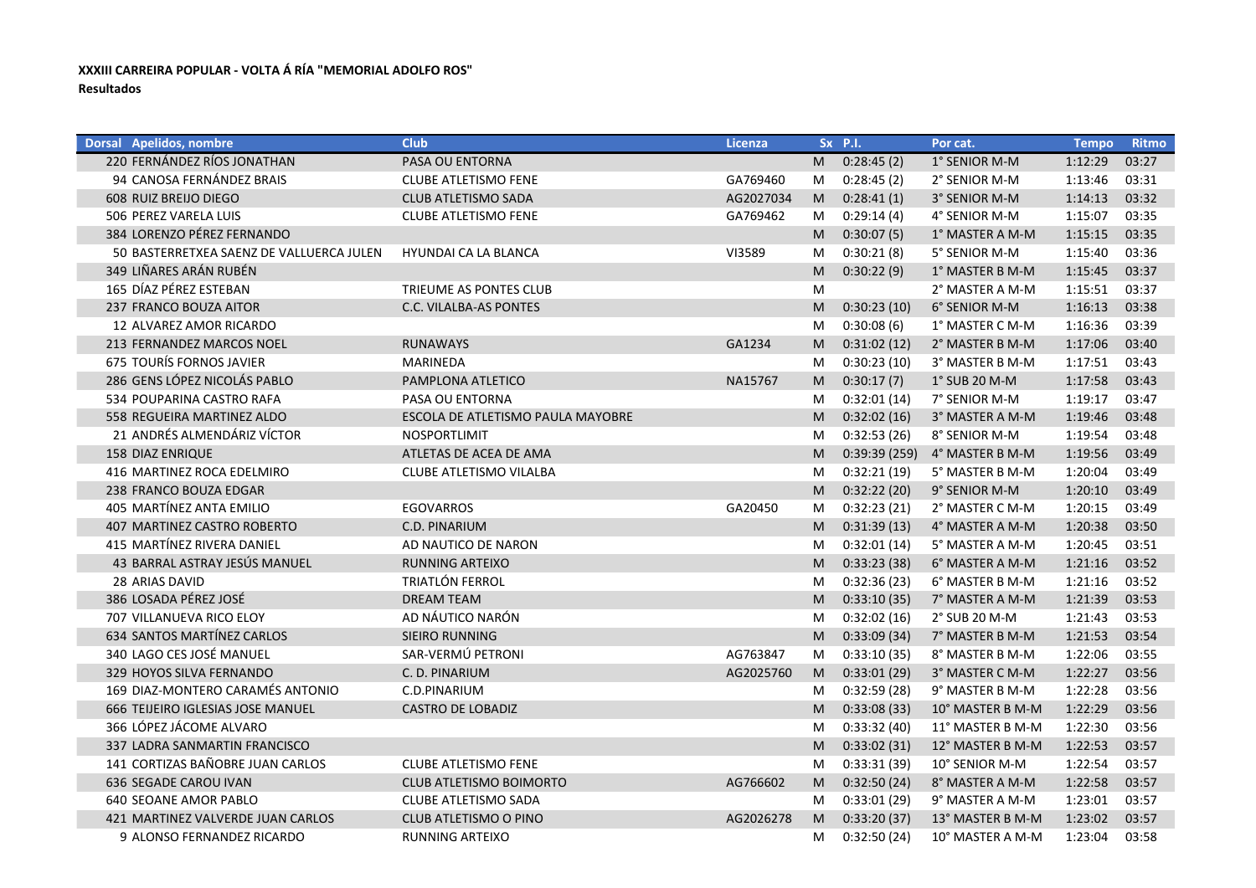## **XXXIII CARREIRA POPULAR - VOLTA Á RÍA "MEMORIAL ADOLFO ROS" Resultados**

| <b>Dorsal Apelidos, nombre</b>           | <b>Club</b>                       | <b>Licenza</b> |   | Sx P.I.      | Por cat.         | <b>Tempo</b> | <b>Ritmo</b> |
|------------------------------------------|-----------------------------------|----------------|---|--------------|------------------|--------------|--------------|
| 220 FERNÁNDEZ RÍOS JONATHAN              | PASA OU ENTORNA                   |                | M | 0:28:45(2)   | 1° SENIOR M-M    | 1:12:29      | 03:27        |
| 94 CANOSA FERNÁNDEZ BRAIS                | <b>CLUBE ATLETISMO FENE</b>       | GA769460       | M | 0:28:45(2)   | 2° SENIOR M-M    | 1:13:46      | 03:31        |
| 608 RUIZ BREIJO DIEGO                    | CLUB ATLETISMO SADA               | AG2027034      | M | 0:28:41(1)   | 3° SENIOR M-M    | 1:14:13      | 03:32        |
| 506 PEREZ VARELA LUIS                    | <b>CLUBE ATLETISMO FENE</b>       | GA769462       | M | 0:29:14(4)   | 4° SENIOR M-M    | 1:15:07      | 03:35        |
| 384 LORENZO PÉREZ FERNANDO               |                                   |                | M | 0:30:07(5)   | 1° MASTER A M-M  | 1:15:15      | 03:35        |
| 50 BASTERRETXEA SAENZ DE VALLUERCA JULEN | HYUNDAI CA LA BLANCA              | VI3589         | M | 0:30:21(8)   | 5° SENIOR M-M    | 1:15:40      | 03:36        |
| 349 LIÑARES ARÁN RUBÉN                   |                                   |                | M | 0:30:22(9)   | 1° MASTER B M-M  | 1:15:45      | 03:37        |
| 165 DÍAZ PÉREZ ESTEBAN                   | TRIEUME AS PONTES CLUB            |                | M |              | 2° MASTER A M-M  | 1:15:51      | 03:37        |
| 237 FRANCO BOUZA AITOR                   | C.C. VILALBA-AS PONTES            |                | M | 0:30:23(10)  | 6° SENIOR M-M    | 1:16:13      | 03:38        |
| 12 ALVAREZ AMOR RICARDO                  |                                   |                | M | 0:30:08(6)   | 1° MASTER C M-M  | 1:16:36      | 03:39        |
| 213 FERNANDEZ MARCOS NOEL                | <b>RUNAWAYS</b>                   | GA1234         | M | 0:31:02(12)  | 2° MASTER B M-M  | 1:17:06      | 03:40        |
| 675 TOURÍS FORNOS JAVIER                 | MARINEDA                          |                | M | 0:30:23(10)  | 3° MASTER B M-M  | 1:17:51      | 03:43        |
| 286 GENS LÓPEZ NICOLÁS PABLO             | PAMPLONA ATLETICO                 | NA15767        | M | 0:30:17(7)   | 1° SUB 20 M-M    | 1:17:58      | 03:43        |
| 534 POUPARINA CASTRO RAFA                | PASA OU ENTORNA                   |                | M | 0:32:01(14)  | 7° SENIOR M-M    | 1:19:17      | 03:47        |
| 558 REGUEIRA MARTINEZ ALDO               | ESCOLA DE ATLETISMO PAULA MAYOBRE |                | M | 0:32:02(16)  | 3° MASTER A M-M  | 1:19:46      | 03:48        |
| 21 ANDRÉS ALMENDÁRIZ VÍCTOR              | <b>NOSPORTLIMIT</b>               |                | M | 0:32:53(26)  | 8° SENIOR M-M    | 1:19:54      | 03:48        |
| <b>158 DIAZ ENRIQUE</b>                  | ATLETAS DE ACEA DE AMA            |                | M | 0:39:39(259) | 4° MASTER B M-M  | 1:19:56      | 03:49        |
| 416 MARTINEZ ROCA EDELMIRO               | CLUBE ATLETISMO VILALBA           |                | M | 0:32:21(19)  | 5° MASTER B M-M  | 1:20:04      | 03:49        |
| 238 FRANCO BOUZA EDGAR                   |                                   |                | M | 0:32:22(20)  | 9° SENIOR M-M    | 1:20:10      | 03:49        |
| 405 MARTÍNEZ ANTA EMILIO                 | <b>EGOVARROS</b>                  | GA20450        | M | 0:32:23(21)  | 2° MASTER C M-M  | 1:20:15      | 03:49        |
| 407 MARTINEZ CASTRO ROBERTO              | C.D. PINARIUM                     |                | M | 0:31:39(13)  | 4° MASTER A M-M  | 1:20:38      | 03:50        |
| 415 MARTÍNEZ RIVERA DANIEL               | AD NAUTICO DE NARON               |                | M | 0:32:01(14)  | 5° MASTER A M-M  | 1:20:45      | 03:51        |
| 43 BARRAL ASTRAY JESÚS MANUEL            | <b>RUNNING ARTEIXO</b>            |                | M | 0:33:23(38)  | 6° MASTER A M-M  | 1:21:16      | 03:52        |
| 28 ARIAS DAVID                           | TRIATLÓN FERROL                   |                | M | 0:32:36(23)  | 6° MASTER B M-M  | 1:21:16      | 03:52        |
| 386 LOSADA PÉREZ JOSÉ                    | <b>DREAM TEAM</b>                 |                | M | 0:33:10(35)  | 7° MASTER A M-M  | 1:21:39      | 03:53        |
| 707 VILLANUEVA RICO ELOY                 | AD NÁUTICO NARÓN                  |                | M | 0:32:02(16)  | 2° SUB 20 M-M    | 1:21:43      | 03:53        |
| 634 SANTOS MARTÍNEZ CARLOS               | <b>SIEIRO RUNNING</b>             |                | M | 0:33:09(34)  | 7° MASTER B M-M  | 1:21:53      | 03:54        |
| 340 LAGO CES JOSÉ MANUEL                 | SAR-VERMÚ PETRONI                 | AG763847       | M | 0:33:10(35)  | 8° MASTER B M-M  | 1:22:06      | 03:55        |
| 329 HOYOS SILVA FERNANDO                 | C. D. PINARIUM                    | AG2025760      | M | 0:33:01(29)  | 3° MASTER C M-M  | 1:22:27      | 03:56        |
| 169 DIAZ-MONTERO CARAMÉS ANTONIO         | C.D.PINARIUM                      |                | M | 0:32:59(28)  | 9° MASTER B M-M  | 1:22:28      | 03:56        |
| 666 TEIJEIRO IGLESIAS JOSE MANUEL        | <b>CASTRO DE LOBADIZ</b>          |                | M | 0:33:08(33)  | 10° MASTER B M-M | 1:22:29      | 03:56        |
| 366 LÓPEZ JÁCOME ALVARO                  |                                   |                | M | 0:33:32(40)  | 11° MASTER B M-M | 1:22:30      | 03:56        |
| 337 LADRA SANMARTIN FRANCISCO            |                                   |                | M | 0:33:02(31)  | 12° MASTER B M-M | 1:22:53      | 03:57        |
| 141 CORTIZAS BAÑOBRE JUAN CARLOS         | <b>CLUBE ATLETISMO FENE</b>       |                | M | 0:33:31(39)  | 10° SENIOR M-M   | 1:22:54      | 03:57        |
| 636 SEGADE CAROU IVAN                    | <b>CLUB ATLETISMO BOIMORTO</b>    | AG766602       | M | 0:32:50(24)  | 8° MASTER A M-M  | 1:22:58      | 03:57        |
| 640 SEOANE AMOR PABLO                    | <b>CLUBE ATLETISMO SADA</b>       |                | M | 0:33:01(29)  | 9° MASTER A M-M  | 1:23:01      | 03:57        |
| 421 MARTINEZ VALVERDE JUAN CARLOS        | CLUB ATLETISMO O PINO             | AG2026278      | M | 0:33:20(37)  | 13° MASTER B M-M | 1:23:02      | 03:57        |
| 9 ALONSO FERNANDEZ RICARDO               | <b>RUNNING ARTEIXO</b>            |                | M | 0:32:50(24)  | 10° MASTER A M-M | 1:23:04      | 03:58        |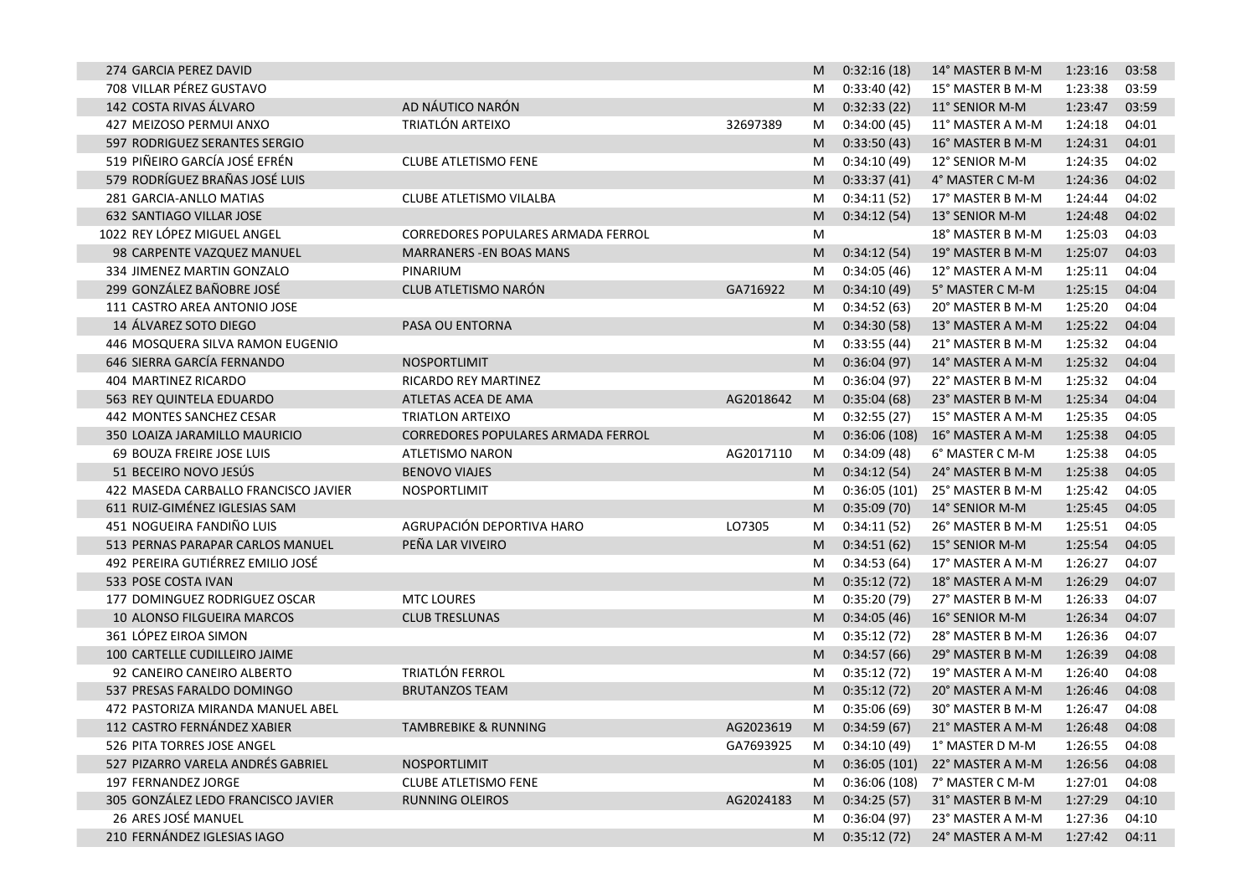| 274 GARCIA PEREZ DAVID               |                                    |           | M              | 0:32:16(18)    | 14° MASTER B M-M | 1:23:16 | 03:58 |
|--------------------------------------|------------------------------------|-----------|----------------|----------------|------------------|---------|-------|
| 708 VILLAR PÉREZ GUSTAVO             |                                    |           | M              | 0:33:40(42)    | 15° MASTER B M-M | 1:23:38 | 03:59 |
| 142 COSTA RIVAS ÁLVARO               | AD NÁUTICO NARÓN                   |           | M              | 0:32:33(22)    | 11° SENIOR M-M   | 1:23:47 | 03:59 |
| 427 MEIZOSO PERMUI ANXO              | TRIATLÓN ARTEIXO                   | 32697389  | M              | 0:34:00(45)    | 11° MASTER A M-M | 1:24:18 | 04:01 |
| 597 RODRIGUEZ SERANTES SERGIO        |                                    |           | M              | 0:33:50(43)    | 16° MASTER B M-M | 1:24:31 | 04:01 |
| 519 PIÑEIRO GARCÍA JOSÉ EFRÉN        | <b>CLUBE ATLETISMO FENE</b>        |           | M              | 0:34:10(49)    | 12° SENIOR M-M   | 1:24:35 | 04:02 |
| 579 RODRÍGUEZ BRAÑAS JOSÉ LUIS       |                                    |           | M              | 0:33:37(41)    | 4° MASTER C M-M  | 1:24:36 | 04:02 |
| 281 GARCIA-ANLLO MATIAS              | CLUBE ATLETISMO VILALBA            |           | M              | 0:34:11(52)    | 17° MASTER B M-M | 1:24:44 | 04:02 |
| <b>632 SANTIAGO VILLAR JOSE</b>      |                                    |           | M              | 0:34:12(54)    | 13° SENIOR M-M   | 1:24:48 | 04:02 |
| 1022 REY LÓPEZ MIGUEL ANGEL          | CORREDORES POPULARES ARMADA FERROL |           | M              |                | 18° MASTER B M-M | 1:25:03 | 04:03 |
| 98 CARPENTE VAZQUEZ MANUEL           | <b>MARRANERS - EN BOAS MANS</b>    |           | M              | 0:34:12(54)    | 19° MASTER B M-M | 1:25:07 | 04:03 |
| 334 JIMENEZ MARTIN GONZALO           | PINARIUM                           |           | M              | 0:34:05(46)    | 12° MASTER A M-M | 1:25:11 | 04:04 |
| 299 GONZÁLEZ BAÑOBRE JOSÉ            | CLUB ATLETISMO NARÓN               | GA716922  | M              | 0:34:10(49)    | 5° MASTER C M-M  | 1:25:15 | 04:04 |
| 111 CASTRO AREA ANTONIO JOSE         |                                    |           | M              | 0:34:52(63)    | 20° MASTER B M-M | 1:25:20 | 04:04 |
| 14 ÁLVAREZ SOTO DIEGO                | PASA OU ENTORNA                    |           | M              | 0:34:30(58)    | 13° MASTER A M-M | 1:25:22 | 04:04 |
| 446 MOSQUERA SILVA RAMON EUGENIO     |                                    |           | M              | 0:33:55(44)    | 21° MASTER B M-M | 1:25:32 | 04:04 |
| 646 SIERRA GARCÍA FERNANDO           | NOSPORTLIMIT                       |           | M              | 0:36:04(97)    | 14° MASTER A M-M | 1:25:32 | 04:04 |
| 404 MARTINEZ RICARDO                 | RICARDO REY MARTINEZ               |           | M              | 0:36:04(97)    | 22° MASTER B M-M | 1:25:32 | 04:04 |
| 563 REY QUINTELA EDUARDO             | ATLETAS ACEA DE AMA                | AG2018642 | M              | 0:35:04(68)    | 23° MASTER B M-M | 1:25:34 | 04:04 |
| 442 MONTES SANCHEZ CESAR             | <b>TRIATLON ARTEIXO</b>            |           | M              | 0:32:55(27)    | 15° MASTER A M-M | 1:25:35 | 04:05 |
| 350 LOAIZA JARAMILLO MAURICIO        | CORREDORES POPULARES ARMADA FERROL |           | M              | 0:36:06(108)   | 16° MASTER A M-M | 1:25:38 | 04:05 |
| 69 BOUZA FREIRE JOSE LUIS            | <b>ATLETISMO NARON</b>             | AG2017110 | M              | 0:34:09(48)    | 6° MASTER C M-M  | 1:25:38 | 04:05 |
| 51 BECEIRO NOVO JESÚS                | <b>BENOVO VIAJES</b>               |           | M              | 0:34:12(54)    | 24° MASTER B M-M | 1:25:38 | 04:05 |
| 422 MASEDA CARBALLO FRANCISCO JAVIER | NOSPORTLIMIT                       |           | M              | 0:36:05(101)   | 25° MASTER B M-M | 1:25:42 | 04:05 |
| 611 RUIZ-GIMÉNEZ IGLESIAS SAM        |                                    |           | M              | 0:35:09(70)    | 14° SENIOR M-M   | 1:25:45 | 04:05 |
| 451 NOGUEIRA FANDIÑO LUIS            | AGRUPACIÓN DEPORTIVA HARO          | LO7305    | M              | 0:34:11(52)    | 26° MASTER B M-M | 1:25:51 | 04:05 |
| 513 PERNAS PARAPAR CARLOS MANUEL     | PEÑA LAR VIVEIRO                   |           | M              | 0:34:51(62)    | 15° SENIOR M-M   | 1:25:54 | 04:05 |
| 492 PEREIRA GUTIÉRREZ EMILIO JOSÉ    |                                    |           | M              | 0:34:53(64)    | 17° MASTER A M-M | 1:26:27 | 04:07 |
| 533 POSE COSTA IVAN                  |                                    |           | M              | 0:35:12(72)    | 18° MASTER A M-M | 1:26:29 | 04:07 |
| 177 DOMINGUEZ RODRIGUEZ OSCAR        | <b>MTC LOURES</b>                  |           | M              | 0:35:20(79)    | 27° MASTER B M-M | 1:26:33 | 04:07 |
| 10 ALONSO FILGUEIRA MARCOS           | <b>CLUB TRESLUNAS</b>              |           | M              | 0:34:05(46)    | 16° SENIOR M-M   | 1:26:34 | 04:07 |
| 361 LÓPEZ EIROA SIMON                |                                    |           | M              | 0:35:12(72)    | 28° MASTER B M-M | 1:26:36 | 04:07 |
| 100 CARTELLE CUDILLEIRO JAIME        |                                    |           | M              | 0:34:57(66)    | 29° MASTER B M-M | 1:26:39 | 04:08 |
| 92 CANEIRO CANEIRO ALBERTO           | TRIATLÓN FERROL                    |           | M              | 0:35:12(72)    | 19° MASTER A M-M | 1:26:40 | 04:08 |
| 537 PRESAS FARALDO DOMINGO           | <b>BRUTANZOS TEAM</b>              |           | M              | 0:35:12(72)    | 20° MASTER A M-M | 1:26:46 | 04:08 |
| 472 PASTORIZA MIRANDA MANUEL ABEL    |                                    |           | M              | 0:35:06(69)    | 30° MASTER B M-M | 1:26:47 | 04:08 |
| 112 CASTRO FERNÁNDEZ XABIER          | TAMBREBIKE & RUNNING               | AG2023619 | M.             | 0:34:59(67)    | 21° MASTER A M-M | 1:26:48 | 04:08 |
| 526 PITA TORRES JOSE ANGEL           |                                    | GA7693925 | M              | 0:34:10(49)    | 1° MASTER D M-M  | 1:26:55 | 04:08 |
| 527 PIZARRO VARELA ANDRÉS GABRIEL    | NOSPORTLIMIT                       |           | M              | 0:36:05(101)   | 22° MASTER A M-M | 1:26:56 | 04:08 |
| 197 FERNANDEZ JORGE                  | <b>CLUBE ATLETISMO FENE</b>        |           | M              | 0:36:06(108)   | 7° MASTER C M-M  | 1:27:01 | 04:08 |
| 305 GONZÁLEZ LEDO FRANCISCO JAVIER   | <b>RUNNING OLEIROS</b>             | AG2024183 | M <sub>1</sub> | 0:34:25(57)    | 31° MASTER B M-M | 1:27:29 | 04:10 |
| 26 ARES JOSÉ MANUEL                  |                                    |           | M              | 0:36:04(97)    | 23° MASTER A M-M | 1:27:36 | 04:10 |
| 210 FERNÁNDEZ IGLESIAS IAGO          |                                    |           |                | M 0:35:12 (72) | 24° MASTER A M-M | 1:27:42 | 04:11 |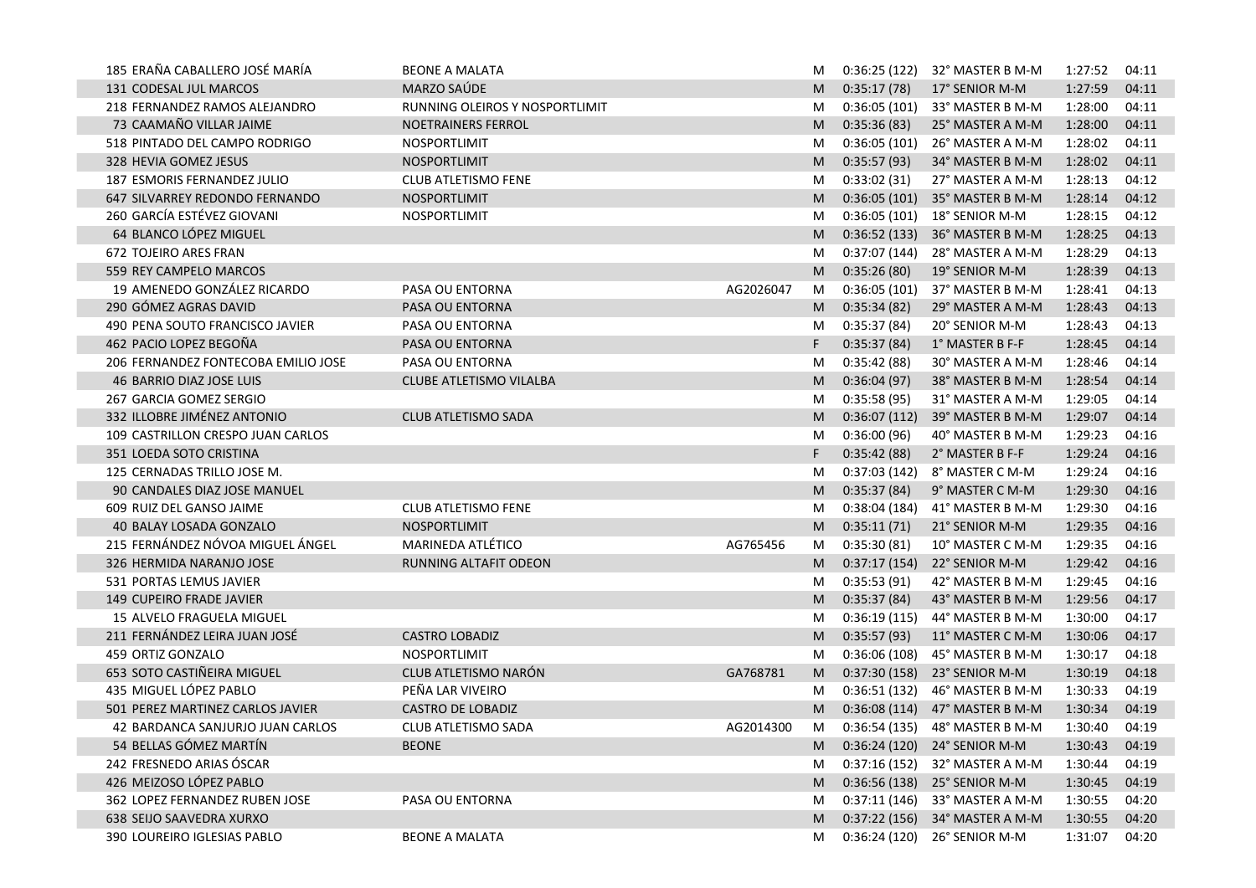| 185 ERAÑA CABALLERO JOSÉ MARÍA      | <b>BEONE A MALATA</b>          |           | M  |              | $0:36:25(122)$ 32° MASTER B M-M | 1:27:52 | 04:11 |
|-------------------------------------|--------------------------------|-----------|----|--------------|---------------------------------|---------|-------|
| 131 CODESAL JUL MARCOS              | <b>MARZO SAÚDE</b>             |           | M  | 0:35:17(78)  | 17° SENIOR M-M                  | 1:27:59 | 04:11 |
| 218 FERNANDEZ RAMOS ALEJANDRO       | RUNNING OLEIROS Y NOSPORTLIMIT |           | M  | 0:36:05(101) | 33° MASTER B M-M                | 1:28:00 | 04:11 |
| 73 CAAMAÑO VILLAR JAIME             | NOETRAINERS FERROL             |           | M  | 0:35:36(83)  | 25° MASTER A M-M                | 1:28:00 | 04:11 |
| 518 PINTADO DEL CAMPO RODRIGO       | NOSPORTLIMIT                   |           | M  | 0:36:05(101) | 26° MASTER A M-M                | 1:28:02 | 04:11 |
| 328 HEVIA GOMEZ JESUS               | NOSPORTLIMIT                   |           | M  | 0:35:57(93)  | 34° MASTER B M-M                | 1:28:02 | 04:11 |
| 187 ESMORIS FERNANDEZ JULIO         | CLUB ATLETISMO FENE            |           | M  | 0:33:02(31)  | 27° MASTER A M-M                | 1:28:13 | 04:12 |
| 647 SILVARREY REDONDO FERNANDO      | NOSPORTLIMIT                   |           | M  | 0:36:05(101) | 35° MASTER B M-M                | 1:28:14 | 04:12 |
| 260 GARCÍA ESTÉVEZ GIOVANI          | NOSPORTLIMIT                   |           | M  | 0:36:05(101) | 18° SENIOR M-M                  | 1:28:15 | 04:12 |
| 64 BLANCO LÓPEZ MIGUEL              |                                |           | M  | 0:36:52(133) | 36° MASTER B M-M                | 1:28:25 | 04:13 |
| <b>672 TOJEIRO ARES FRAN</b>        |                                |           | M  | 0:37:07(144) | 28° MASTER A M-M                | 1:28:29 | 04:13 |
| 559 REY CAMPELO MARCOS              |                                |           | M  | 0:35:26(80)  | 19° SENIOR M-M                  | 1:28:39 | 04:13 |
| 19 AMENEDO GONZÁLEZ RICARDO         | PASA OU ENTORNA                | AG2026047 | M  | 0:36:05(101) | 37° MASTER B M-M                | 1:28:41 | 04:13 |
| 290 GÓMEZ AGRAS DAVID               | PASA OU ENTORNA                |           | M  | 0:35:34(82)  | 29° MASTER A M-M                | 1:28:43 | 04:13 |
| 490 PENA SOUTO FRANCISCO JAVIER     | PASA OU ENTORNA                |           | M  | 0:35:37(84)  | 20° SENIOR M-M                  | 1:28:43 | 04:13 |
| 462 PACIO LOPEZ BEGOÑA              | PASA OU ENTORNA                |           | F. | 0:35:37(84)  | 1° MASTER B F-F                 | 1:28:45 | 04:14 |
| 206 FERNANDEZ FONTECOBA EMILIO JOSE | PASA OU ENTORNA                |           | M  | 0:35:42(88)  | 30° MASTER A M-M                | 1:28:46 | 04:14 |
| 46 BARRIO DIAZ JOSE LUIS            | CLUBE ATLETISMO VILALBA        |           | M  | 0:36:04(97)  | 38° MASTER B M-M                | 1:28:54 | 04:14 |
| 267 GARCIA GOMEZ SERGIO             |                                |           | M  | 0:35:58(95)  | 31° MASTER A M-M                | 1:29:05 | 04:14 |
| 332 ILLOBRE JIMÉNEZ ANTONIO         | CLUB ATLETISMO SADA            |           | M  | 0:36:07(112) | 39° MASTER B M-M                | 1:29:07 | 04:14 |
| 109 CASTRILLON CRESPO JUAN CARLOS   |                                |           | M  | 0:36:00(96)  | 40° MASTER B M-M                | 1:29:23 | 04:16 |
| 351 LOEDA SOTO CRISTINA             |                                |           | F. | 0:35:42(88)  | 2° MASTER B F-F                 | 1:29:24 | 04:16 |
| 125 CERNADAS TRILLO JOSE M.         |                                |           | M  | 0:37:03(142) | 8° MASTER C M-M                 | 1:29:24 | 04:16 |
| 90 CANDALES DIAZ JOSE MANUEL        |                                |           | M  | 0:35:37(84)  | 9° MASTER C M-M                 | 1:29:30 | 04:16 |
| 609 RUIZ DEL GANSO JAIME            | <b>CLUB ATLETISMO FENE</b>     |           | M  | 0:38:04(184) | 41° MASTER B M-M                | 1:29:30 | 04:16 |
| 40 BALAY LOSADA GONZALO             | NOSPORTLIMIT                   |           | M  | 0:35:11(71)  | 21° SENIOR M-M                  | 1:29:35 | 04:16 |
| 215 FERNÁNDEZ NÓVOA MIGUEL ÁNGEL    | MARINEDA ATLÉTICO              | AG765456  | M  | 0:35:30(81)  | 10° MASTER C M-M                | 1:29:35 | 04:16 |
| 326 HERMIDA NARANJO JOSE            | RUNNING ALTAFIT ODEON          |           | M  | 0:37:17(154) | 22° SENIOR M-M                  | 1:29:42 | 04:16 |
| 531 PORTAS LEMUS JAVIER             |                                |           | M  | 0:35:53(91)  | 42° MASTER B M-M                | 1:29:45 | 04:16 |
| 149 CUPEIRO FRADE JAVIER            |                                |           | M  | 0:35:37(84)  | 43° MASTER B M-M                | 1:29:56 | 04:17 |
| 15 ALVELO FRAGUELA MIGUEL           |                                |           | M  | 0:36:19(115) | 44° MASTER B M-M                | 1:30:00 | 04:17 |
| 211 FERNÁNDEZ LEIRA JUAN JOSÉ       | <b>CASTRO LOBADIZ</b>          |           | M  | 0:35:57(93)  | 11° MASTER C M-M                | 1:30:06 | 04:17 |
| 459 ORTIZ GONZALO                   | NOSPORTLIMIT                   |           | M  | 0:36:06(108) | 45° MASTER B M-M                | 1:30:17 | 04:18 |
| 653 SOTO CASTIÑEIRA MIGUEL          | CLUB ATLETISMO NARÓN           | GA768781  | M  |              | 0:37:30 (158) 23° SENIOR M-M    | 1:30:19 | 04:18 |
| 435 MIGUEL LÓPEZ PABLO              | PEÑA LAR VIVEIRO               |           | M  | 0:36:51(132) | 46° MASTER B M-M                | 1:30:33 | 04:19 |
| 501 PEREZ MARTINEZ CARLOS JAVIER    | <b>CASTRO DE LOBADIZ</b>       |           | M  |              | 0:36:08 (114) 47° MASTER B M-M  | 1:30:34 | 04:19 |
| 42 BARDANCA SANJURJO JUAN CARLOS    | CLUB ATLETISMO SADA            | AG2014300 | M  |              | 0:36:54 (135) 48° MASTER B M-M  | 1:30:40 | 04:19 |
| 54 BELLAS GÓMEZ MARTÍN              | <b>BEONE</b>                   |           |    |              | 0:36:24 (120) 24° SENIOR M-M    | 1:30:43 | 04:19 |
| 242 FRESNEDO ARIAS ÓSCAR            |                                |           | M  |              | 0:37:16 (152) 32° MASTER A M-M  | 1:30:44 | 04:19 |
| 426 MEIZOSO LÓPEZ PABLO             |                                |           | M  |              | 0:36:56 (138) 25° SENIOR M-M    | 1:30:45 | 04:19 |
| 362 LOPEZ FERNANDEZ RUBEN JOSE      | PASA OU ENTORNA                |           | M  |              | 0:37:11 (146) 33° MASTER A M-M  | 1:30:55 | 04:20 |
| 638 SEIJO SAAVEDRA XURXO            |                                |           | M  |              | 0:37:22 (156) 34° MASTER A M-M  | 1:30:55 | 04:20 |
| 390 LOUREIRO IGLESIAS PABLO         | <b>BEONE A MALATA</b>          |           | M  |              | 0:36:24 (120) 26° SENIOR M-M    | 1:31:07 | 04:20 |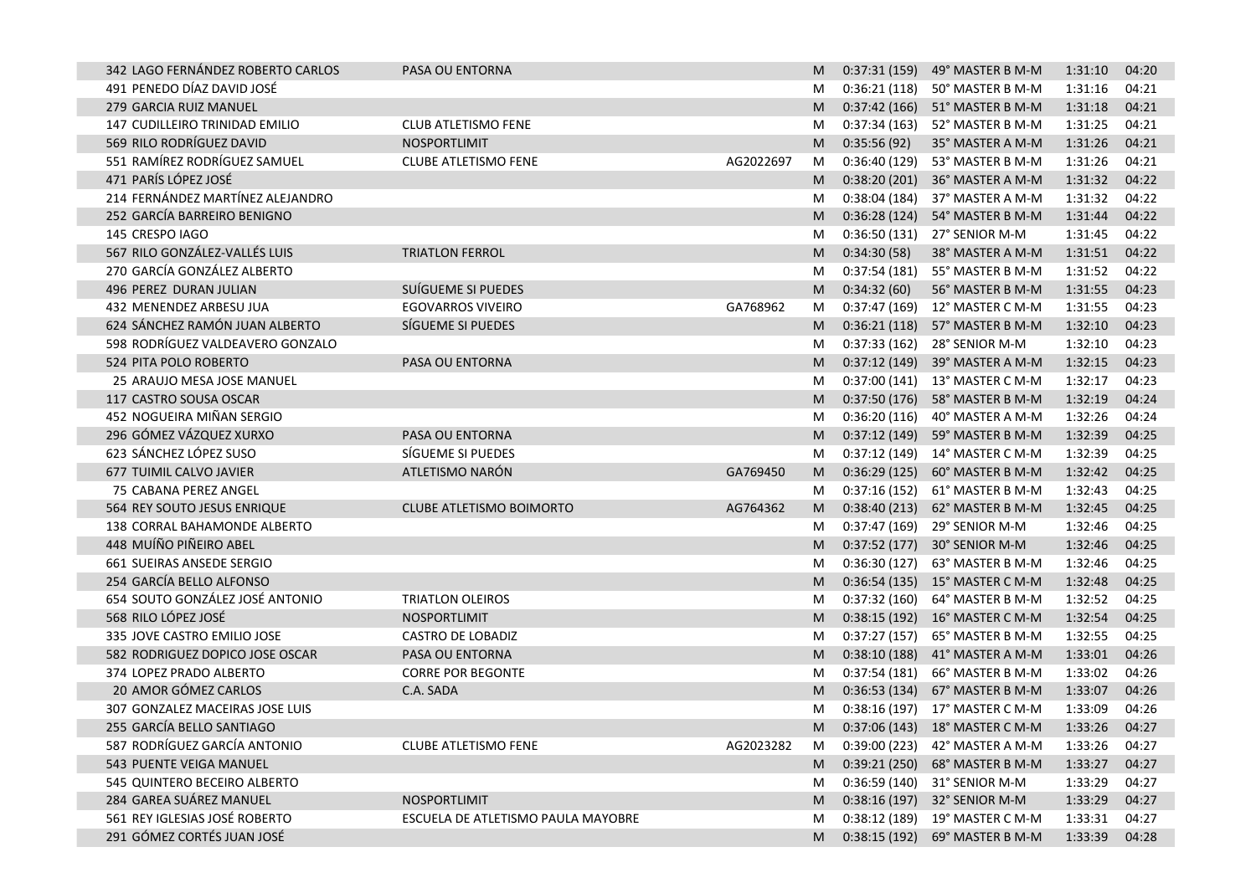| 342 LAGO FERNÁNDEZ ROBERTO CARLOS | PASA OU ENTORNA                    |           | M  |               | 0:37:31 (159) 49° MASTER B M-M | 1:31:10 | 04:20 |
|-----------------------------------|------------------------------------|-----------|----|---------------|--------------------------------|---------|-------|
| 491 PENEDO DÍAZ DAVID JOSÉ        |                                    |           | M  | 0:36:21 (118) | 50° MASTER B M-M               | 1:31:16 | 04:21 |
| 279 GARCIA RUIZ MANUEL            |                                    |           | M  | 0:37:42 (166) | 51° MASTER B M-M               | 1:31:18 | 04:21 |
| 147 CUDILLEIRO TRINIDAD EMILIO    | <b>CLUB ATLETISMO FENE</b>         |           | M  |               | 0:37:34 (163) 52° MASTER B M-M | 1:31:25 | 04:21 |
| 569 RILO RODRÍGUEZ DAVID          | NOSPORTLIMIT                       |           | M  | 0:35:56(92)   | 35° MASTER A M-M               | 1:31:26 | 04:21 |
| 551 RAMÍREZ RODRÍGUEZ SAMUEL      | <b>CLUBE ATLETISMO FENE</b>        | AG2022697 | M  | 0:36:40(129)  | 53° MASTER B M-M               | 1:31:26 | 04:21 |
| 471 PARÍS LÓPEZ JOSÉ              |                                    |           | M  | 0:38:20(201)  | 36° MASTER A M-M               | 1:31:32 | 04:22 |
| 214 FERNÁNDEZ MARTÍNEZ ALEJANDRO  |                                    |           | M  | 0:38:04(184)  | 37° MASTER A M-M               | 1:31:32 | 04:22 |
| 252 GARCÍA BARREIRO BENIGNO       |                                    |           | M  | 0:36:28(124)  | 54° MASTER B M-M               | 1:31:44 | 04:22 |
| 145 CRESPO IAGO                   |                                    |           | M  | 0:36:50(131)  | 27° SENIOR M-M                 | 1:31:45 | 04:22 |
| 567 RILO GONZÁLEZ-VALLÉS LUIS     | <b>TRIATLON FERROL</b>             |           | M  | 0:34:30(58)   | 38° MASTER A M-M               | 1:31:51 | 04:22 |
| 270 GARCÍA GONZÁLEZ ALBERTO       |                                    |           | M  | 0:37:54(181)  | 55° MASTER B M-M               | 1:31:52 | 04:22 |
| 496 PEREZ DURAN JULIAN            | SUÍGUEME SI PUEDES                 |           | M  | 0:34:32(60)   | 56° MASTER B M-M               | 1:31:55 | 04:23 |
| 432 MENENDEZ ARBESU JUA           | <b>EGOVARROS VIVEIRO</b>           | GA768962  | M  |               | 0:37:47 (169) 12° MASTER C M-M | 1:31:55 | 04:23 |
| 624 SÁNCHEZ RAMÓN JUAN ALBERTO    | SÍGUEME SI PUEDES                  |           | M  | 0:36:21(118)  | 57° MASTER B M-M               | 1:32:10 | 04:23 |
| 598 RODRÍGUEZ VALDEAVERO GONZALO  |                                    |           | M  | 0:37:33(162)  | 28° SENIOR M-M                 | 1:32:10 | 04:23 |
| 524 PITA POLO ROBERTO             | PASA OU ENTORNA                    |           | M  | 0:37:12(149)  | 39° MASTER A M-M               | 1:32:15 | 04:23 |
| 25 ARAUJO MESA JOSE MANUEL        |                                    |           | M  | 0:37:00(141)  | 13° MASTER C M-M               | 1:32:17 | 04:23 |
| 117 CASTRO SOUSA OSCAR            |                                    |           | M  | 0:37:50(176)  | 58° MASTER B M-M               | 1:32:19 | 04:24 |
| 452 NOGUEIRA MIÑAN SERGIO         |                                    |           | M  | 0:36:20(116)  | 40° MASTER A M-M               | 1:32:26 | 04:24 |
| 296 GÓMEZ VÁZQUEZ XURXO           | PASA OU ENTORNA                    |           | M  | 0:37:12(149)  | 59° MASTER B M-M               | 1:32:39 | 04:25 |
| 623 SÁNCHEZ LÓPEZ SUSO            | SÍGUEME SI PUEDES                  |           | M  | 0:37:12 (149) | 14° MASTER C M-M               | 1:32:39 | 04:25 |
| 677 TUIMIL CALVO JAVIER           | ATLETISMO NARÓN                    | GA769450  | M  | 0:36:29(125)  | 60° MASTER B M-M               | 1:32:42 | 04:25 |
| 75 CABANA PEREZ ANGEL             |                                    |           | M  | 0:37:16 (152) | 61° MASTER B M-M               | 1:32:43 | 04:25 |
| 564 REY SOUTO JESUS ENRIQUE       | <b>CLUBE ATLETISMO BOIMORTO</b>    | AG764362  | M  | 0:38:40(213)  | 62° MASTER B M-M               | 1:32:45 | 04:25 |
| 138 CORRAL BAHAMONDE ALBERTO      |                                    |           | M  | 0:37:47 (169) | 29° SENIOR M-M                 | 1:32:46 | 04:25 |
| 448 MUÍÑO PIÑEIRO ABEL            |                                    |           | M  | 0:37:52(177)  | 30° SENIOR M-M                 | 1:32:46 | 04:25 |
| 661 SUEIRAS ANSEDE SERGIO         |                                    |           | M  | 0:36:30(127)  | 63° MASTER B M-M               | 1:32:46 | 04:25 |
| 254 GARCÍA BELLO ALFONSO          |                                    |           | M  |               | 0:36:54 (135) 15° MASTER C M-M | 1:32:48 | 04:25 |
| 654 SOUTO GONZÁLEZ JOSÉ ANTONIO   | <b>TRIATLON OLEIROS</b>            |           | M  | 0:37:32(160)  | 64° MASTER B M-M               | 1:32:52 | 04:25 |
| 568 RILO LÓPEZ JOSÉ               | NOSPORTLIMIT                       |           | M  | 0:38:15(192)  | 16° MASTER C M-M               | 1:32:54 | 04:25 |
| 335 JOVE CASTRO EMILIO JOSE       | <b>CASTRO DE LOBADIZ</b>           |           | M  | 0:37:27(157)  | 65° MASTER B M-M               | 1:32:55 | 04:25 |
| 582 RODRIGUEZ DOPICO JOSE OSCAR   | PASA OU ENTORNA                    |           | M  | 0:38:10(188)  | 41° MASTER A M-M               | 1:33:01 | 04:26 |
| 374 LOPEZ PRADO ALBERTO           | <b>CORRE POR BEGONTE</b>           |           | M  | 0:37:54(181)  | 66° MASTER B M-M               | 1:33:02 | 04:26 |
| 20 AMOR GÓMEZ CARLOS              | C.A. SADA                          |           | M  | 0:36:53(134)  | 67° MASTER B M-M               | 1:33:07 | 04:26 |
| 307 GONZALEZ MACEIRAS JOSE LUIS   |                                    |           | M  |               | 0:38:16 (197) 17° MASTER C M-M | 1:33:09 | 04:26 |
| 255 GARCÍA BELLO SANTIAGO         |                                    |           | M  |               | 0:37:06 (143) 18° MASTER C M-M | 1:33:26 | 04:27 |
| 587 RODRÍGUEZ GARCÍA ANTONIO      | <b>CLUBE ATLETISMO FENE</b>        | AG2023282 | M  |               | 0:39:00 (223) 42° MASTER A M-M | 1:33:26 | 04:27 |
| 543 PUENTE VEIGA MANUEL           |                                    |           | M. |               | 0:39:21 (250) 68° MASTER B M-M | 1:33:27 | 04:27 |
| 545 QUINTERO BECEIRO ALBERTO      |                                    |           | M  |               | 0:36:59 (140) 31° SENIOR M-M   | 1:33:29 | 04:27 |
| 284 GAREA SUÁREZ MANUEL           | NOSPORTLIMIT                       |           | M  |               | 0:38:16 (197) 32° SENIOR M-M   | 1:33:29 | 04:27 |
| 561 REY IGLESIAS JOSÉ ROBERTO     | ESCUELA DE ATLETISMO PAULA MAYOBRE |           | M  | 0:38:12(189)  | 19° MASTER C M-M               | 1:33:31 | 04:27 |
| 291 GÓMEZ CORTÉS JUAN JOSÉ        |                                    |           | M. | 0:38:15(192)  | 69° MASTER B M-M               | 1:33:39 | 04:28 |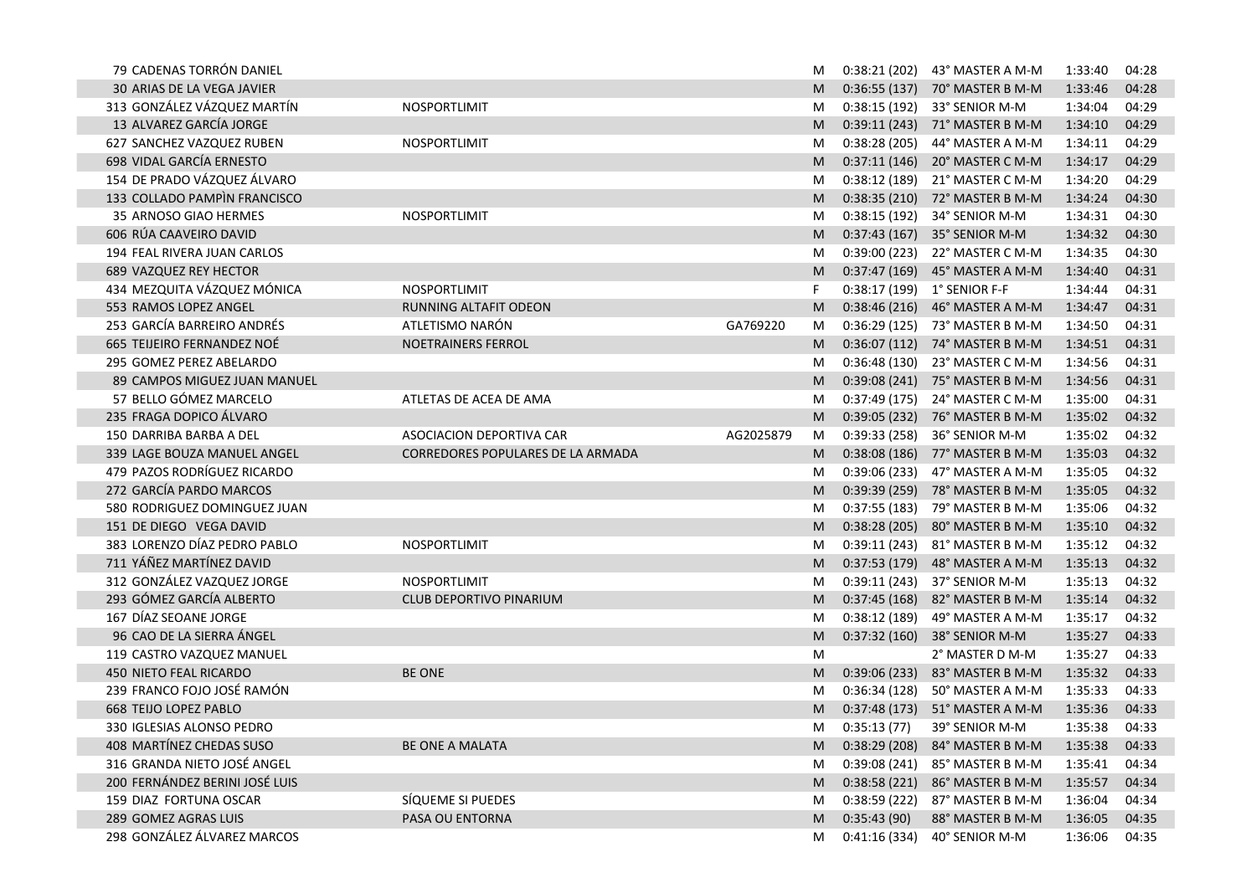| 79 CADENAS TORRÓN DANIEL       |                                          |           | M |               | 0:38:21 (202) 43° MASTER A M-M | 1:33:40 | 04:28 |
|--------------------------------|------------------------------------------|-----------|---|---------------|--------------------------------|---------|-------|
| 30 ARIAS DE LA VEGA JAVIER     |                                          |           | M |               | 0:36:55 (137) 70° MASTER B M-M | 1:33:46 | 04:28 |
| 313 GONZÁLEZ VÁZQUEZ MARTÍN    | NOSPORTLIMIT                             |           | M |               | 0:38:15 (192) 33° SENIOR M-M   | 1:34:04 | 04:29 |
| 13 ALVAREZ GARCÍA JORGE        |                                          |           | M |               | 0:39:11 (243) 71° MASTER B M-M | 1:34:10 | 04:29 |
| 627 SANCHEZ VAZQUEZ RUBEN      | NOSPORTLIMIT                             |           | M | 0:38:28(205)  | 44° MASTER A M-M               | 1:34:11 | 04:29 |
| 698 VIDAL GARCÍA ERNESTO       |                                          |           | M |               | 0:37:11 (146) 20° MASTER C M-M | 1:34:17 | 04:29 |
| 154 DE PRADO VÁZQUEZ ÁLVARO    |                                          |           | M |               | 0:38:12 (189) 21° MASTER C M-M | 1:34:20 | 04:29 |
| 133 COLLADO PAMPIN FRANCISCO   |                                          |           | M |               | 0:38:35 (210) 72° MASTER B M-M | 1:34:24 | 04:30 |
| 35 ARNOSO GIAO HERMES          | NOSPORTLIMIT                             |           | M | 0:38:15(192)  | 34° SENIOR M-M                 | 1:34:31 | 04:30 |
| 606 RÚA CAAVEIRO DAVID         |                                          |           | M |               | 0:37:43 (167) 35° SENIOR M-M   | 1:34:32 | 04:30 |
| 194 FEAL RIVERA JUAN CARLOS    |                                          |           | M |               | 0:39:00 (223) 22° MASTER C M-M | 1:34:35 | 04:30 |
| 689 VAZQUEZ REY HECTOR         |                                          |           | M |               | 0:37:47 (169) 45° MASTER A M-M | 1:34:40 | 04:31 |
| 434 MEZQUITA VÁZQUEZ MÓNICA    | NOSPORTLIMIT                             |           | F |               | 0:38:17 (199) 1° SENIOR F-F    | 1:34:44 | 04:31 |
| 553 RAMOS LOPEZ ANGEL          | RUNNING ALTAFIT ODEON                    |           | M |               | 0:38:46 (216) 46° MASTER A M-M | 1:34:47 | 04:31 |
| 253 GARCÍA BARREIRO ANDRÉS     | ATLETISMO NARÓN                          | GA769220  | M |               | 0:36:29 (125) 73° MASTER B M-M | 1:34:50 | 04:31 |
| 665 TEIJEIRO FERNANDEZ NOÉ     | NOETRAINERS FERROL                       |           | M |               | 0:36:07 (112) 74° MASTER B M-M | 1:34:51 | 04:31 |
| 295 GOMEZ PEREZ ABELARDO       |                                          |           | M |               | 0:36:48 (130) 23° MASTER C M-M | 1:34:56 | 04:31 |
| 89 CAMPOS MIGUEZ JUAN MANUEL   |                                          |           | M |               | 0:39:08 (241) 75° MASTER B M-M | 1:34:56 | 04:31 |
| 57 BELLO GÓMEZ MARCELO         | ATLETAS DE ACEA DE AMA                   |           | M | 0:37:49(175)  | 24° MASTER C M-M               | 1:35:00 | 04:31 |
| 235 FRAGA DOPICO ÁLVARO        |                                          |           | M |               | 0:39:05 (232) 76° MASTER B M-M | 1:35:02 | 04:32 |
| 150 DARRIBA BARBA A DEL        | <b>ASOCIACION DEPORTIVA CAR</b>          | AG2025879 | M | 0:39:33(258)  | 36° SENIOR M-M                 | 1:35:02 | 04:32 |
| 339 LAGE BOUZA MANUEL ANGEL    | <b>CORREDORES POPULARES DE LA ARMADA</b> |           | M |               | 0:38:08 (186) 77° MASTER B M-M | 1:35:03 | 04:32 |
| 479 PAZOS RODRÍGUEZ RICARDO    |                                          |           | M |               | 0:39:06 (233) 47° MASTER A M-M | 1:35:05 | 04:32 |
| 272 GARCÍA PARDO MARCOS        |                                          |           | M |               | 0:39:39 (259) 78° MASTER B M-M | 1:35:05 | 04:32 |
| 580 RODRIGUEZ DOMINGUEZ JUAN   |                                          |           | M |               | 0:37:55 (183) 79° MASTER B M-M | 1:35:06 | 04:32 |
| 151 DE DIEGO VEGA DAVID        |                                          |           | M |               | 0:38:28 (205) 80° MASTER B M-M | 1:35:10 | 04:32 |
| 383 LORENZO DÍAZ PEDRO PABLO   | NOSPORTLIMIT                             |           | M |               | 0:39:11 (243) 81° MASTER B M-M | 1:35:12 | 04:32 |
| 711 YÁÑEZ MARTÍNEZ DAVID       |                                          |           | M | 0:37:53(179)  | 48° MASTER A M-M               | 1:35:13 | 04:32 |
| 312 GONZÁLEZ VAZQUEZ JORGE     | NOSPORTLIMIT                             |           | M | 0:39:11(243)  | 37° SENIOR M-M                 | 1:35:13 | 04:32 |
| 293 GÓMEZ GARCÍA ALBERTO       | <b>CLUB DEPORTIVO PINARIUM</b>           |           | M | 0:37:45(168)  | 82° MASTER B M-M               | 1:35:14 | 04:32 |
| 167 DÍAZ SEOANE JORGE          |                                          |           | M | 0:38:12(189)  | 49° MASTER A M-M               | 1:35:17 | 04:32 |
| 96 CAO DE LA SIERRA ÁNGEL      |                                          |           | M | 0:37:32(160)  | 38° SENIOR M-M                 | 1:35:27 | 04:33 |
| 119 CASTRO VAZQUEZ MANUEL      |                                          |           | M |               | 2° MASTER D M-M                | 1:35:27 | 04:33 |
| 450 NIETO FEAL RICARDO         | <b>BE ONE</b>                            |           | M | 0:39:06(233)  | 83° MASTER B M-M               | 1:35:32 | 04:33 |
| 239 FRANCO FOJO JOSÉ RAMÓN     |                                          |           | M | 0:36:34 (128) | 50° MASTER A M-M               | 1:35:33 | 04:33 |
| <b>668 TEIJO LOPEZ PABLO</b>   |                                          |           | M |               | 0:37:48 (173) 51° MASTER A M-M | 1:35:36 | 04:33 |
| 330 IGLESIAS ALONSO PEDRO      |                                          |           | M | 0:35:13(77)   | 39° SENIOR M-M                 | 1:35:38 | 04:33 |
| 408 MARTÍNEZ CHEDAS SUSO       | BE ONE A MALATA                          |           | M |               | 0:38:29 (208) 84° MASTER B M-M | 1:35:38 | 04:33 |
| 316 GRANDA NIETO JOSÉ ANGEL    |                                          |           | M |               | 0:39:08 (241) 85° MASTER B M-M | 1:35:41 | 04:34 |
| 200 FERNÁNDEZ BERINI JOSÉ LUIS |                                          |           | M |               | 0:38:58 (221) 86° MASTER B M-M | 1:35:57 | 04:34 |
| 159 DIAZ FORTUNA OSCAR         | SÍQUEME SI PUEDES                        |           | M |               | 0:38:59 (222) 87° MASTER B M-M | 1:36:04 | 04:34 |
| 289 GOMEZ AGRAS LUIS           | PASA OU ENTORNA                          |           | M | 0:35:43(90)   | 88° MASTER B M-M               | 1:36:05 | 04:35 |
| 298 GONZÁLEZ ÁLVAREZ MARCOS    |                                          |           | M | 0:41:16(334)  | 40° SENIOR M-M                 | 1:36:06 | 04:35 |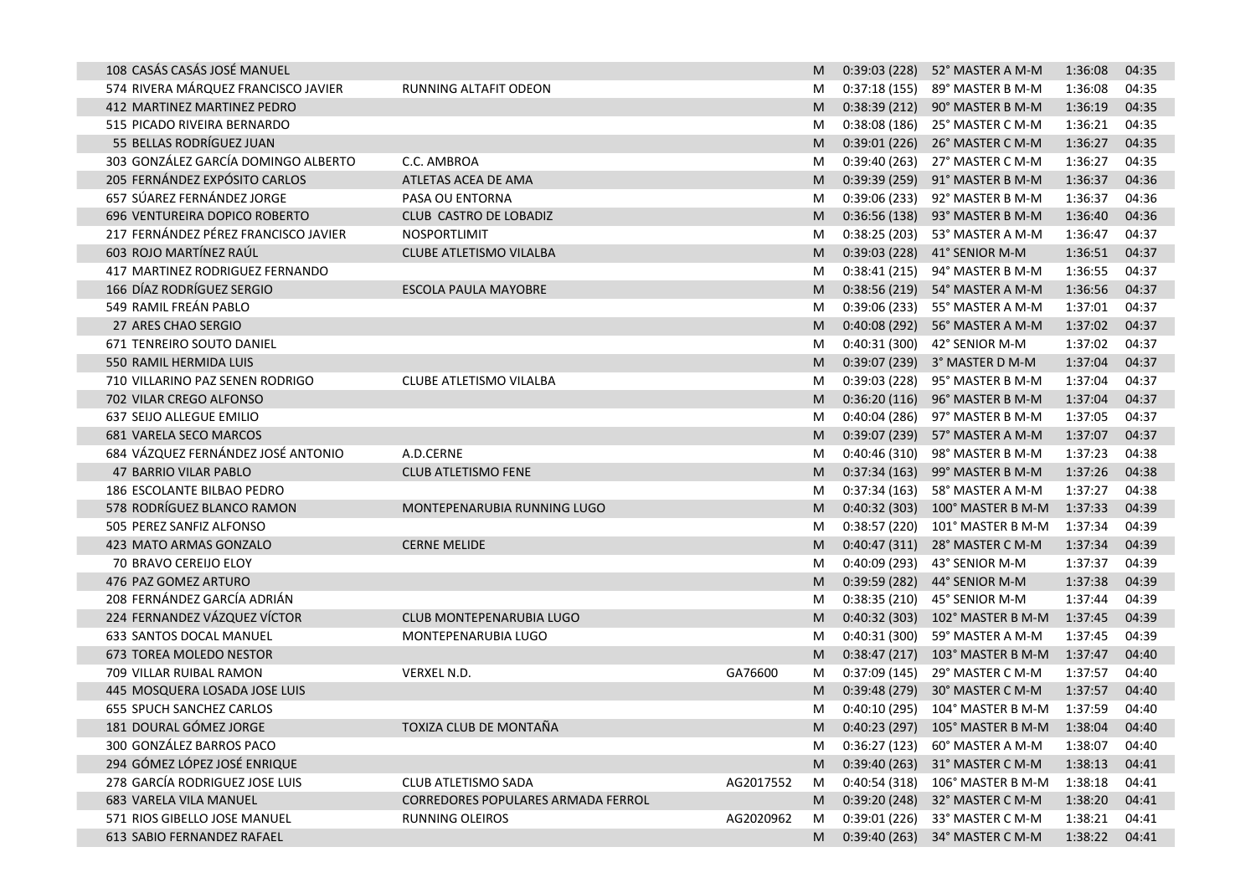| 108 CASÁS CASÁS JOSÉ MANUEL          |                                    |           | M |               | 0:39:03 (228) 52° MASTER A M-M          | 1:36:08 | 04:35 |
|--------------------------------------|------------------------------------|-----------|---|---------------|-----------------------------------------|---------|-------|
| 574 RIVERA MÁRQUEZ FRANCISCO JAVIER  | RUNNING ALTAFIT ODEON              |           | M |               | 0:37:18 (155) 89° MASTER B M-M          | 1:36:08 | 04:35 |
| 412 MARTINEZ MARTINEZ PEDRO          |                                    |           | M |               | 0:38:39 (212) 90° MASTER B M-M          | 1:36:19 | 04:35 |
| 515 PICADO RIVEIRA BERNARDO          |                                    |           | M |               | 0:38:08 (186) 25° MASTER C M-M          | 1:36:21 | 04:35 |
| 55 BELLAS RODRÍGUEZ JUAN             |                                    |           | M |               | 0:39:01 (226) 26° MASTER C M-M          | 1:36:27 | 04:35 |
| 303 GONZÁLEZ GARCÍA DOMINGO ALBERTO  | C.C. AMBROA                        |           | M |               | 0:39:40 (263) 27° MASTER C M-M          | 1:36:27 | 04:35 |
| 205 FERNÁNDEZ EXPÓSITO CARLOS        | ATLETAS ACEA DE AMA                |           | M |               | 0:39:39 (259) 91° MASTER B M-M          | 1:36:37 | 04:36 |
| 657 SÚAREZ FERNÁNDEZ JORGE           | PASA OU ENTORNA                    |           | M |               | 0:39:06 (233) 92° MASTER B M-M          | 1:36:37 | 04:36 |
| 696 VENTUREIRA DOPICO ROBERTO        | CLUB CASTRO DE LOBADIZ             |           | M |               | 0:36:56 (138) 93° MASTER B M-M          | 1:36:40 | 04:36 |
| 217 FERNÁNDEZ PÉREZ FRANCISCO JAVIER | NOSPORTLIMIT                       |           | M |               | 0:38:25 (203) 53° MASTER A M-M          | 1:36:47 | 04:37 |
| 603 ROJO MARTÍNEZ RAÚL               | <b>CLUBE ATLETISMO VILALBA</b>     |           | M |               | 0:39:03 (228) 41° SENIOR M-M            | 1:36:51 | 04:37 |
| 417 MARTINEZ RODRIGUEZ FERNANDO      |                                    |           | M |               | 0:38:41 (215) 94° MASTER B M-M          | 1:36:55 | 04:37 |
| 166 DÍAZ RODRÍGUEZ SERGIO            | <b>ESCOLA PAULA MAYOBRE</b>        |           | M |               | 0:38:56 (219) 54° MASTER A M-M          | 1:36:56 | 04:37 |
| 549 RAMIL FREÁN PABLO                |                                    |           | M |               | 0:39:06 (233) 55° MASTER A M-M          | 1:37:01 | 04:37 |
| 27 ARES CHAO SERGIO                  |                                    |           | M | 0:40:08(292)  | 56° MASTER A M-M                        | 1:37:02 | 04:37 |
| 671 TENREIRO SOUTO DANIEL            |                                    |           | M | 0:40:31 (300) | 42° SENIOR M-M                          | 1:37:02 | 04:37 |
| 550 RAMIL HERMIDA LUIS               |                                    |           | M |               | 0:39:07 (239) 3° MASTER D M-M           | 1:37:04 | 04:37 |
| 710 VILLARINO PAZ SENEN RODRIGO      | CLUBE ATLETISMO VILALBA            |           | M | 0:39:03(228)  | 95° MASTER B M-M                        | 1:37:04 | 04:37 |
| 702 VILAR CREGO ALFONSO              |                                    |           | M | 0:36:20(116)  | 96° MASTER B M-M                        | 1:37:04 | 04:37 |
| 637 SEIJO ALLEGUE EMILIO             |                                    |           | M | 0:40:04 (286) | 97° MASTER B M-M                        | 1:37:05 | 04:37 |
| <b>681 VARELA SECO MARCOS</b>        |                                    |           | M |               | 0:39:07 (239) 57° MASTER A M-M          | 1:37:07 | 04:37 |
| 684 VÁZQUEZ FERNÁNDEZ JOSÉ ANTONIO   | A.D.CERNE                          |           | M |               | 0:40:46 (310) 98° MASTER B M-M          | 1:37:23 | 04:38 |
| 47 BARRIO VILAR PABLO                | <b>CLUB ATLETISMO FENE</b>         |           | M |               | 0:37:34 (163) 99° MASTER B M-M          | 1:37:26 | 04:38 |
| 186 ESCOLANTE BILBAO PEDRO           |                                    |           | M |               | 0:37:34 (163) 58° MASTER A M-M          | 1:37:27 | 04:38 |
| 578 RODRÍGUEZ BLANCO RAMON           | MONTEPENARUBIA RUNNING LUGO        |           | M |               | 0:40:32 (303) 100° MASTER B M-M         | 1:37:33 | 04:39 |
| 505 PEREZ SANFIZ ALFONSO             |                                    |           | M |               | 0:38:57 (220) 101° MASTER B M-M         | 1:37:34 | 04:39 |
| 423 MATO ARMAS GONZALO               | <b>CERNE MELIDE</b>                |           | M |               | 0:40:47 (311) 28° MASTER C M-M          | 1:37:34 | 04:39 |
| 70 BRAVO CEREIJO ELOY                |                                    |           | M | 0:40:09(293)  | 43° SENIOR M-M                          | 1:37:37 | 04:39 |
| 476 PAZ GOMEZ ARTURO                 |                                    |           | M | 0:39:59(282)  | 44° SENIOR M-M                          | 1:37:38 | 04:39 |
| 208 FERNÁNDEZ GARCÍA ADRIÁN          |                                    |           | M |               | 0:38:35 (210) 45° SENIOR M-M            | 1:37:44 | 04:39 |
| 224 FERNANDEZ VÁZQUEZ VÍCTOR         | CLUB MONTEPENARUBIA LUGO           |           | M |               | 0:40:32 (303) 102° MASTER B M-M         | 1:37:45 | 04:39 |
| 633 SANTOS DOCAL MANUEL              | MONTEPENARUBIA LUGO                |           | M |               | 0:40:31 (300) 59° MASTER A M-M          | 1:37:45 | 04:39 |
| 673 TOREA MOLEDO NESTOR              |                                    |           | M |               | 0:38:47 (217) 103° MASTER B M-M         | 1:37:47 | 04:40 |
| 709 VILLAR RUIBAL RAMON              | VERXEL N.D.                        | GA76600   | M |               | 0:37:09 (145) 29° MASTER C M-M          | 1:37:57 | 04:40 |
| 445 MOSQUERA LOSADA JOSE LUIS        |                                    |           | M |               | 0:39:48 (279) 30° MASTER C M-M          | 1:37:57 | 04:40 |
| 655 SPUCH SANCHEZ CARLOS             |                                    |           | M |               | 0:40:10 (295) 104° MASTER B M-M         | 1:37:59 | 04:40 |
| 181 DOURAL GÓMEZ JORGE               | TOXIZA CLUB DE MONTAÑA             |           | м |               | 0:40:23 (297) 105° MASTER B M-M 1:38:04 |         | 04:40 |
| 300 GONZÁLEZ BARROS PACO             |                                    |           |   |               | 0:36:27 (123) 60° MASTER A M-M          | 1:38:07 | 04:40 |
| 294 GÓMEZ LÓPEZ JOSÉ ENRIQUE         |                                    |           | M |               | 0:39:40 (263) 31° MASTER C M-M          | 1:38:13 | 04:41 |
| 278 GARCÍA RODRIGUEZ JOSE LUIS       | CLUB ATLETISMO SADA                | AG2017552 | M |               | 0:40:54 (318) 106° MASTER B M-M         | 1:38:18 | 04:41 |
| 683 VARELA VILA MANUEL               | CORREDORES POPULARES ARMADA FERROL |           | M |               | 0:39:20 (248) 32° MASTER C M-M          | 1:38:20 | 04:41 |
| 571 RIOS GIBELLO JOSE MANUEL         | <b>RUNNING OLEIROS</b>             | AG2020962 | M | 0:39:01(226)  | 33° MASTER C M-M                        | 1:38:21 | 04:41 |
| 613 SABIO FERNANDEZ RAFAEL           |                                    |           | M |               | 0:39:40 (263) 34° MASTER C M-M          | 1:38:22 | 04:41 |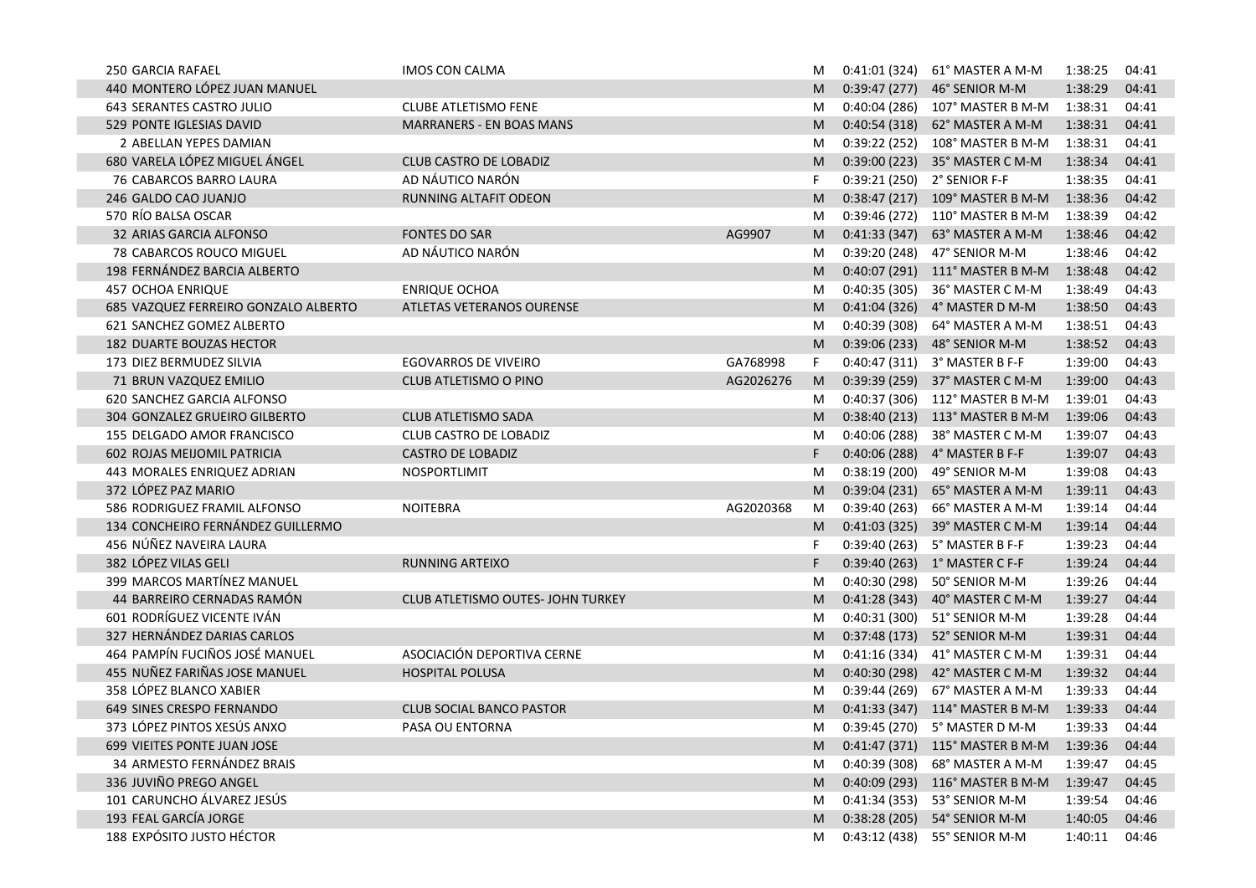| <b>250 GARCIA RAFAEL</b>             | IMOS CON CALMA                    |           | M  | 0:41:01 (324) | 61° MASTER A M-M                | 1:38:25 | 04:41 |
|--------------------------------------|-----------------------------------|-----------|----|---------------|---------------------------------|---------|-------|
| 440 MONTERO LÓPEZ JUAN MANUEL        |                                   |           | M  |               | 0:39:47 (277) 46° SENIOR M-M    | 1:38:29 | 04:41 |
| 643 SERANTES CASTRO JULIO            | <b>CLUBE ATLETISMO FENE</b>       |           | M  |               | 0:40:04 (286) 107° MASTER B M-M | 1:38:31 | 04:41 |
| 529 PONTE IGLESIAS DAVID             | <b>MARRANERS - EN BOAS MANS</b>   |           | M  | 0:40:54(318)  | 62° MASTER A M-M                | 1:38:31 | 04:41 |
| 2 ABELLAN YEPES DAMIAN               |                                   |           | M  | 0:39:22 (252) | 108° MASTER B M-M               | 1:38:31 | 04:41 |
| 680 VARELA LÓPEZ MIGUEL ÁNGEL        | <b>CLUB CASTRO DE LOBADIZ</b>     |           | M  |               | 0:39:00 (223) 35° MASTER C M-M  | 1:38:34 | 04:41 |
| 76 CABARCOS BARRO LAURA              | AD NÁUTICO NARÓN                  |           | F  |               | 0:39:21 (250) 2° SENIOR F-F     | 1:38:35 | 04:41 |
| 246 GALDO CAO JUANJO                 | RUNNING ALTAFIT ODEON             |           | M  |               | 0:38:47 (217) 109° MASTER B M-M | 1:38:36 | 04:42 |
| 570 RÍO BALSA OSCAR                  |                                   |           | M  | 0:39:46 (272) | 110° MASTER B M-M               | 1:38:39 | 04:42 |
| 32 ARIAS GARCIA ALFONSO              | <b>FONTES DO SAR</b>              | AG9907    | M  | 0:41:33(347)  | 63° MASTER A M-M                | 1:38:46 | 04:42 |
| 78 CABARCOS ROUCO MIGUEL             | AD NÁUTICO NARÓN                  |           | M  | 0:39:20 (248) | 47° SENIOR M-M                  | 1:38:46 | 04:42 |
| 198 FERNÁNDEZ BARCIA ALBERTO         |                                   |           | M  |               | 0:40:07 (291) 111° MASTER B M-M | 1:38:48 | 04:42 |
| 457 OCHOA ENRIQUE                    | <b>ENRIQUE OCHOA</b>              |           | M  | 0:40:35 (305) | 36° MASTER C M-M                | 1:38:49 | 04:43 |
| 685 VAZQUEZ FERREIRO GONZALO ALBERTO | ATLETAS VETERANOS OURENSE         |           | M  |               | 0:41:04 (326) 4° MASTER D M-M   | 1:38:50 | 04:43 |
| 621 SANCHEZ GOMEZ ALBERTO            |                                   |           | M  | 0:40:39(308)  | 64° MASTER A M-M                | 1:38:51 | 04:43 |
| 182 DUARTE BOUZAS HECTOR             |                                   |           | M  | 0:39:06(233)  | 48° SENIOR M-M                  | 1:38:52 | 04:43 |
| 173 DIEZ BERMUDEZ SILVIA             | <b>EGOVARROS DE VIVEIRO</b>       | GA768998  | F. | 0:40:47(311)  | 3° MASTER B F-F                 | 1:39:00 | 04:43 |
| 71 BRUN VAZQUEZ EMILIO               | CLUB ATLETISMO O PINO             | AG2026276 | M  |               | 0:39:39 (259) 37° MASTER C M-M  | 1:39:00 | 04:43 |
| 620 SANCHEZ GARCIA ALFONSO           |                                   |           | M  | 0:40:37(306)  | 112° MASTER B M-M               | 1:39:01 | 04:43 |
| 304 GONZALEZ GRUEIRO GILBERTO        | CLUB ATLETISMO SADA               |           | M  |               | 0:38:40 (213) 113° MASTER B M-M | 1:39:06 | 04:43 |
| 155 DELGADO AMOR FRANCISCO           | <b>CLUB CASTRO DE LOBADIZ</b>     |           | M  | 0:40:06 (288) | 38° MASTER C M-M                | 1:39:07 | 04:43 |
| 602 ROJAS MEIJOMIL PATRICIA          | <b>CASTRO DE LOBADIZ</b>          |           | F. |               | 0:40:06 (288) 4° MASTER B F-F   | 1:39:07 | 04:43 |
| 443 MORALES ENRIQUEZ ADRIAN          | NOSPORTLIMIT                      |           | M  |               | 0:38:19 (200) 49° SENIOR M-M    | 1:39:08 | 04:43 |
| 372 LÓPEZ PAZ MARIO                  |                                   |           | M  | 0:39:04(231)  | 65° MASTER A M-M                | 1:39:11 | 04:43 |
| 586 RODRIGUEZ FRAMIL ALFONSO         | <b>NOITEBRA</b>                   | AG2020368 | M  | 0:39:40 (263) | 66° MASTER A M-M                | 1:39:14 | 04:44 |
| 134 CONCHEIRO FERNÁNDEZ GUILLERMO    |                                   |           | M  |               | 0:41:03 (325) 39° MASTER C M-M  | 1:39:14 | 04:44 |
| 456 NÚÑEZ NAVEIRA LAURA              |                                   |           | F  |               | 0:39:40 (263) 5° MASTER B F-F   | 1:39:23 | 04:44 |
| 382 LÓPEZ VILAS GELI                 | <b>RUNNING ARTEIXO</b>            |           | F. |               | 0:39:40 (263) 1° MASTER C F-F   | 1:39:24 | 04:44 |
| 399 MARCOS MARTÍNEZ MANUEL           |                                   |           | M  | 0:40:30(298)  | 50° SENIOR M-M                  | 1:39:26 | 04:44 |
| 44 BARREIRO CERNADAS RAMÓN           | CLUB ATLETISMO OUTES- JOHN TURKEY |           | M  | 0:41:28(343)  | 40° MASTER C M-M                | 1:39:27 | 04:44 |
| 601 RODRÍGUEZ VICENTE IVÁN           |                                   |           | M  | 0:40:31 (300) | 51° SENIOR M-M                  | 1:39:28 | 04:44 |
| 327 HERNÁNDEZ DARIAS CARLOS          |                                   |           | M  | 0:37:48(173)  | 52° SENIOR M-M                  | 1:39:31 | 04:44 |
| 464 PAMPÍN FUCIÑOS JOSÉ MANUEL       | ASOCIACIÓN DEPORTIVA CERNE        |           | M  | 0:41:16 (334) | 41° MASTER C M-M                | 1:39:31 | 04:44 |
| 455 NUÑEZ FARIÑAS JOSE MANUEL        | <b>HOSPITAL POLUSA</b>            |           | M  | 0:40:30(298)  | 42° MASTER C M-M                | 1:39:32 | 04:44 |
| 358 LÓPEZ BLANCO XABIER              |                                   |           | M  | 0:39:44 (269) | 67° MASTER A M-M                | 1:39:33 | 04:44 |
| 649 SINES CRESPO FERNANDO            | <b>CLUB SOCIAL BANCO PASTOR</b>   |           | M  |               | 0:41:33 (347) 114° MASTER B M-M | 1:39:33 | 04:44 |
| 373 LÓPEZ PINTOS XESÚS ANXO          | PASA OU ENTORNA                   |           | M  |               | 0:39:45 (270) 5° MASTER D M-M   | 1:39:33 | 04:44 |
| 699 VIEITES PONTE JUAN JOSE          |                                   |           |    |               | 0:41:47 (371) 115° MASTER B M-M | 1:39:36 | 04:44 |
| 34 ARMESTO FERNÁNDEZ BRAIS           |                                   |           | M  |               | 0:40:39 (308) 68° MASTER A M-M  | 1:39:47 | 04:45 |
| 336 JUVIÑO PREGO ANGEL               |                                   |           | M  |               | 0:40:09 (293) 116° MASTER B M-M | 1:39:47 | 04:45 |
| 101 CARUNCHO ÁLVAREZ JESÚS           |                                   |           | M  |               | 0:41:34 (353) 53° SENIOR M-M    | 1:39:54 | 04:46 |
| 193 FEAL GARCÍA JORGE                |                                   |           | M  |               | 0:38:28 (205) 54° SENIOR M-M    | 1:40:05 | 04:46 |
| 188 EXPÓSITO JUSTO HÉCTOR            |                                   |           | M  | 0:43:12 (438) | 55° SENIOR M-M                  | 1:40:11 | 04:46 |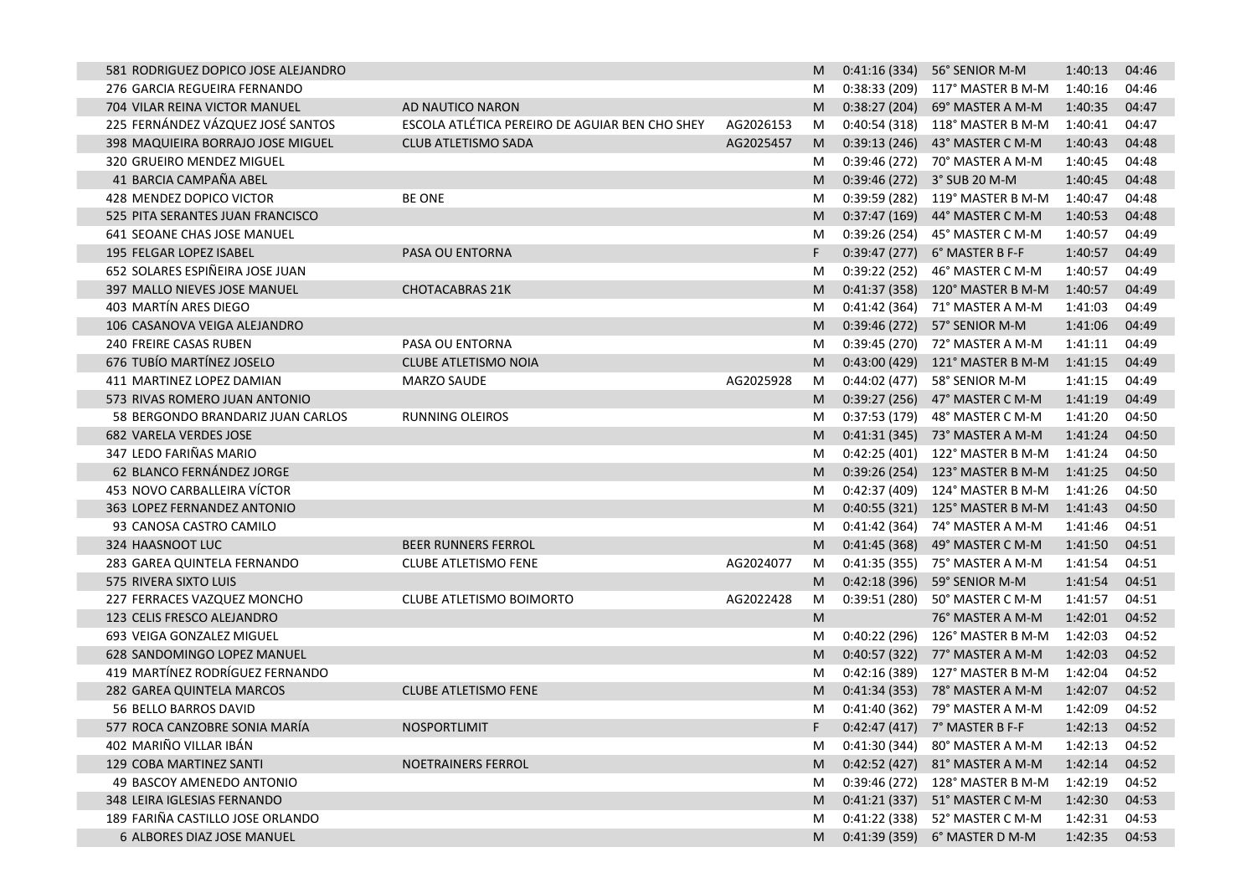| 581 RODRIGUEZ DOPICO JOSE ALEJANDRO |                                                |           | M |               | 0:41:16 (334) 56° SENIOR M-M     | 1:40:13 | 04:46 |
|-------------------------------------|------------------------------------------------|-----------|---|---------------|----------------------------------|---------|-------|
| 276 GARCIA REGUEIRA FERNANDO        |                                                |           | M |               | 0:38:33 (209) 117° MASTER B M-M  | 1:40:16 | 04:46 |
| 704 VILAR REINA VICTOR MANUEL       | AD NAUTICO NARON                               |           | M |               | 0:38:27 (204) 69° MASTER A M-M   | 1:40:35 | 04:47 |
| 225 FERNÁNDEZ VÁZQUEZ JOSÉ SANTOS   | ESCOLA ATLÉTICA PEREIRO DE AGUIAR BEN CHO SHEY | AG2026153 | M |               | 0:40:54 (318) 118° MASTER B M-M  | 1:40:41 | 04:47 |
| 398 MAQUIEIRA BORRAJO JOSE MIGUEL   | CLUB ATLETISMO SADA                            | AG2025457 | M |               | 0:39:13 (246) 43° MASTER C M-M   | 1:40:43 | 04:48 |
| 320 GRUEIRO MENDEZ MIGUEL           |                                                |           | M |               | 0:39:46 (272) 70° MASTER A M-M   | 1:40:45 | 04:48 |
| 41 BARCIA CAMPAÑA ABEL              |                                                |           | M |               | 0:39:46 (272) 3° SUB 20 M-M      | 1:40:45 | 04:48 |
| 428 MENDEZ DOPICO VICTOR            | <b>BE ONE</b>                                  |           | M |               | 0:39:59 (282) 119° MASTER B M-M  | 1:40:47 | 04:48 |
| 525 PITA SERANTES JUAN FRANCISCO    |                                                |           | M |               | 0:37:47 (169) 44° MASTER C M-M   | 1:40:53 | 04:48 |
| 641 SEOANE CHAS JOSE MANUEL         |                                                |           | M | 0:39:26 (254) | 45° MASTER C M-M                 | 1:40:57 | 04:49 |
| 195 FELGAR LOPEZ ISABEL             | PASA OU ENTORNA                                |           | F |               | 0:39:47 (277) 6° MASTER B F-F    | 1:40:57 | 04:49 |
| 652 SOLARES ESPIÑEIRA JOSE JUAN     |                                                |           | M |               | 0:39:22 (252) 46° MASTER C M-M   | 1:40:57 | 04:49 |
| 397 MALLO NIEVES JOSE MANUEL        | <b>CHOTACABRAS 21K</b>                         |           | M |               | 0:41:37 (358) 120° MASTER B M-M  | 1:40:57 | 04:49 |
| 403 MARTÍN ARES DIEGO               |                                                |           | M |               | 0:41:42 (364) 71° MASTER A M-M   | 1:41:03 | 04:49 |
| 106 CASANOVA VEIGA ALEJANDRO        |                                                |           | M |               | 0:39:46 (272) 57° SENIOR M-M     | 1:41:06 | 04:49 |
| 240 FREIRE CASAS RUBEN              | PASA OU ENTORNA                                |           | M |               | 0:39:45 (270) 72° MASTER A M-M   | 1:41:11 | 04:49 |
| 676 TUBÍO MARTÍNEZ JOSELO           | <b>CLUBE ATLETISMO NOIA</b>                    |           | M |               | 0:43:00 (429) 121° MASTER B M-M  | 1:41:15 | 04:49 |
| 411 MARTINEZ LOPEZ DAMIAN           | MARZO SAUDE                                    | AG2025928 | M | 0:44:02 (477) | 58° SENIOR M-M                   | 1:41:15 | 04:49 |
| 573 RIVAS ROMERO JUAN ANTONIO       |                                                |           | M |               | 0:39:27 (256) 47° MASTER C M-M   | 1:41:19 | 04:49 |
| 58 BERGONDO BRANDARIZ JUAN CARLOS   | <b>RUNNING OLEIROS</b>                         |           | M | 0:37:53 (179) | 48° MASTER C M-M                 | 1:41:20 | 04:50 |
| <b>682 VARELA VERDES JOSE</b>       |                                                |           | M |               | 0:41:31 (345) 73° MASTER A M-M   | 1:41:24 | 04:50 |
| 347 LEDO FARIÑAS MARIO              |                                                |           | M |               | 0:42:25 (401) 122° MASTER B M-M  | 1:41:24 | 04:50 |
| 62 BLANCO FERNÁNDEZ JORGE           |                                                |           | M |               | 0:39:26 (254) 123° MASTER B M-M  | 1:41:25 | 04:50 |
| 453 NOVO CARBALLEIRA VÍCTOR         |                                                |           | M |               | 0:42:37 (409) 124° MASTER B M-M  | 1:41:26 | 04:50 |
| 363 LOPEZ FERNANDEZ ANTONIO         |                                                |           | M |               | 0:40:55 (321) 125° MASTER B M-M  | 1:41:43 | 04:50 |
| 93 CANOSA CASTRO CAMILO             |                                                |           | M | 0:41:42 (364) | 74° MASTER A M-M                 | 1:41:46 | 04:51 |
| 324 HAASNOOT LUC                    | <b>BEER RUNNERS FERROL</b>                     |           | M |               | 0:41:45 (368) 49° MASTER C M-M   | 1:41:50 | 04:51 |
| 283 GAREA QUINTELA FERNANDO         | <b>CLUBE ATLETISMO FENE</b>                    | AG2024077 | M | 0:41:35 (355) | 75° MASTER A M-M                 | 1:41:54 | 04:51 |
| 575 RIVERA SIXTO LUIS               |                                                |           | M | 0:42:18(396)  | 59° SENIOR M-M                   | 1:41:54 | 04:51 |
| 227 FERRACES VAZQUEZ MONCHO         | CLUBE ATLETISMO BOIMORTO                       | AG2022428 | M | 0:39:51 (280) | 50° MASTER C M-M                 | 1:41:57 | 04:51 |
| 123 CELIS FRESCO ALEJANDRO          |                                                |           | M |               | 76° MASTER A M-M                 | 1:42:01 | 04:52 |
| 693 VEIGA GONZALEZ MIGUEL           |                                                |           | M |               | $0:40:22(296)$ 126° MASTER B M-M | 1:42:03 | 04:52 |
| 628 SANDOMINGO LOPEZ MANUEL         |                                                |           | M |               | 0:40:57 (322) 77° MASTER A M-M   | 1:42:03 | 04:52 |
| 419 MARTÍNEZ RODRÍGUEZ FERNANDO     |                                                |           | M |               | 0:42:16 (389) 127° MASTER B M-M  | 1:42:04 | 04:52 |
| 282 GAREA QUINTELA MARCOS           | <b>CLUBE ATLETISMO FENE</b>                    |           | M |               | 0:41:34 (353) 78° MASTER A M-M   | 1:42:07 | 04:52 |
| 56 BELLO BARROS DAVID               |                                                |           | M |               | 0:41:40 (362) 79° MASTER A M-M   | 1:42:09 | 04:52 |
| 577 ROCA CANZOBRE SONIA MARÍA       | NOSPORTLIMIT                                   |           |   |               | 0:42:47 (417) 7° MASTER B F-F    | 1:42:13 | 04:52 |
| 402 MARIÑO VILLAR IBÁN              |                                                |           | M |               | 0:41:30 (344) 80° MASTER A M-M   | 1:42:13 | 04:52 |
| 129 COBA MARTINEZ SANTI             | NOETRAINERS FERROL                             |           | M |               | 0:42:52 (427) 81° MASTER A M-M   | 1:42:14 | 04:52 |
| 49 BASCOY AMENEDO ANTONIO           |                                                |           | M |               | 0:39:46 (272) 128° MASTER B M-M  | 1:42:19 | 04:52 |
| 348 LEIRA IGLESIAS FERNANDO         |                                                |           | M |               | 0:41:21 (337) 51° MASTER C M-M   | 1:42:30 | 04:53 |
| 189 FARIÑA CASTILLO JOSE ORLANDO    |                                                |           | M |               | 0:41:22 (338) 52° MASTER C M-M   | 1:42:31 | 04:53 |
| 6 ALBORES DIAZ JOSE MANUEL          |                                                |           | M |               | 0:41:39 (359) 6° MASTER D M-M    | 1:42:35 | 04:53 |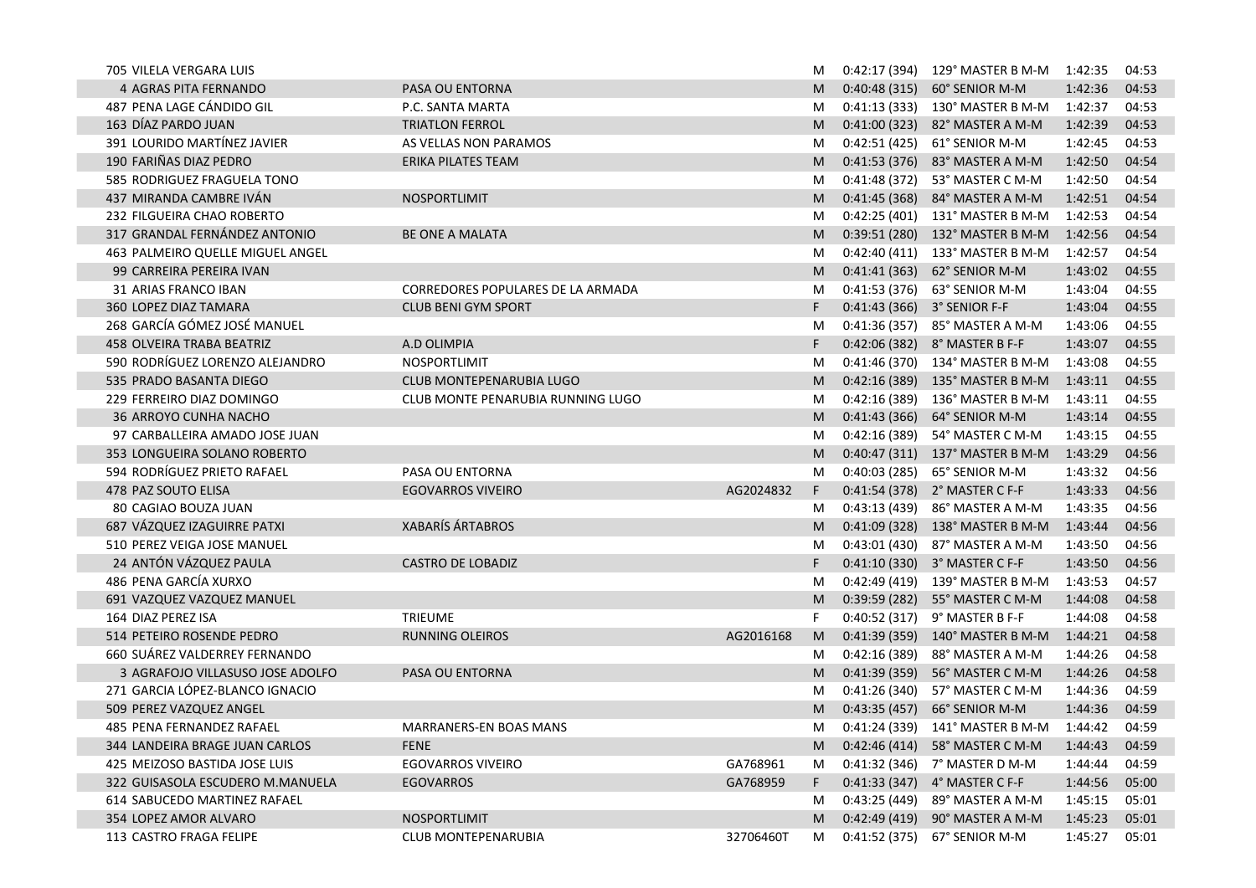| 705 VILELA VERGARA LUIS          |                                   |           | M  |               | 0:42:17 (394) 129° MASTER B M-M 1:42:35 |         | 04:53 |
|----------------------------------|-----------------------------------|-----------|----|---------------|-----------------------------------------|---------|-------|
| 4 AGRAS PITA FERNANDO            | PASA OU ENTORNA                   |           | M  | 0:40:48(315)  | 60° SENIOR M-M                          | 1:42:36 | 04:53 |
| 487 PENA LAGE CÁNDIDO GIL        | P.C. SANTA MARTA                  |           | M  |               | 0:41:13 (333) 130° MASTER B M-M         | 1:42:37 | 04:53 |
| 163 DÍAZ PARDO JUAN              | <b>TRIATLON FERROL</b>            |           | M  | 0:41:00(323)  | 82° MASTER A M-M                        | 1:42:39 | 04:53 |
| 391 LOURIDO MARTÍNEZ JAVIER      | AS VELLAS NON PARAMOS             |           | M  | 0:42:51 (425) | 61° SENIOR M-M                          | 1:42:45 | 04:53 |
| 190 FARIÑAS DIAZ PEDRO           | <b>ERIKA PILATES TEAM</b>         |           | M  | 0:41:53(376)  | 83° MASTER A M-M                        | 1:42:50 | 04:54 |
| 585 RODRIGUEZ FRAGUELA TONO      |                                   |           | M  | 0:41:48(372)  | 53° MASTER C M-M                        | 1:42:50 | 04:54 |
| 437 MIRANDA CAMBRE IVÁN          | NOSPORTLIMIT                      |           | M  | 0:41:45(368)  | 84° MASTER A M-M                        | 1:42:51 | 04:54 |
| 232 FILGUEIRA CHAO ROBERTO       |                                   |           | M  |               | 0:42:25 (401) 131° MASTER B M-M         | 1:42:53 | 04:54 |
| 317 GRANDAL FERNÁNDEZ ANTONIO    | <b>BE ONE A MALATA</b>            |           | M  | 0:39:51(280)  | 132° MASTER B M-M                       | 1:42:56 | 04:54 |
| 463 PALMEIRO QUELLE MIGUEL ANGEL |                                   |           | M  |               | 0:42:40 (411) 133° MASTER B M-M         | 1:42:57 | 04:54 |
| 99 CARREIRA PEREIRA IVAN         |                                   |           | M  | 0:41:41(363)  | 62° SENIOR M-M                          | 1:43:02 | 04:55 |
| 31 ARIAS FRANCO IBAN             | CORREDORES POPULARES DE LA ARMADA |           | M  |               | 0:41:53 (376) 63° SENIOR M-M            | 1:43:04 | 04:55 |
| <b>360 LOPEZ DIAZ TAMARA</b>     | <b>CLUB BENI GYM SPORT</b>        |           | F  |               | 0:41:43 (366) 3° SENIOR F-F             | 1:43:04 | 04:55 |
| 268 GARCÍA GÓMEZ JOSÉ MANUEL     |                                   |           | M  |               | 0:41:36 (357) 85° MASTER A M-M          | 1:43:06 | 04:55 |
| <b>458 OLVEIRA TRABA BEATRIZ</b> | A.D OLIMPIA                       |           | F  |               | 0:42:06 (382) 8° MASTER B F-F           | 1:43:07 | 04:55 |
| 590 RODRÍGUEZ LORENZO ALEJANDRO  | NOSPORTLIMIT                      |           | M  |               | 0:41:46 (370) 134° MASTER B M-M         | 1:43:08 | 04:55 |
| 535 PRADO BASANTA DIEGO          | CLUB MONTEPENARUBIA LUGO          |           | M  |               | 0:42:16 (389) 135° MASTER B M-M         | 1:43:11 | 04:55 |
| 229 FERREIRO DIAZ DOMINGO        | CLUB MONTE PENARUBIA RUNNING LUGO |           | M  | 0:42:16 (389) | 136° MASTER B M-M                       | 1:43:11 | 04:55 |
| 36 ARROYO CUNHA NACHO            |                                   |           | M  | 0:41:43(366)  | 64° SENIOR M-M                          | 1:43:14 | 04:55 |
| 97 CARBALLEIRA AMADO JOSE JUAN   |                                   |           | M  | 0:42:16 (389) | 54° MASTER C M-M                        | 1:43:15 | 04:55 |
| 353 LONGUEIRA SOLANO ROBERTO     |                                   |           | M  |               | 0:40:47 (311) 137° MASTER B M-M         | 1:43:29 | 04:56 |
| 594 RODRÍGUEZ PRIETO RAFAEL      | PASA OU ENTORNA                   |           | M  | 0:40:03 (285) | 65° SENIOR M-M                          | 1:43:32 | 04:56 |
| 478 PAZ SOUTO ELISA              | <b>EGOVARROS VIVEIRO</b>          | AG2024832 | F. |               | 0:41:54 (378) 2° MASTER C F-F           | 1:43:33 | 04:56 |
| 80 CAGIAO BOUZA JUAN             |                                   |           | M  | 0:43:13 (439) | 86° MASTER A M-M                        | 1:43:35 | 04:56 |
| 687 VÁZQUEZ IZAGUIRRE PATXI      | <b>XABARÍS ÁRTABROS</b>           |           | M  |               | 0:41:09 (328) 138° MASTER B M-M         | 1:43:44 | 04:56 |
| 510 PEREZ VEIGA JOSE MANUEL      |                                   |           | M  |               | 0:43:01 (430) 87° MASTER A M-M          | 1:43:50 | 04:56 |
| 24 ANTÓN VÁZQUEZ PAULA           | <b>CASTRO DE LOBADIZ</b>          |           | F. |               | 0:41:10 (330) 3° MASTER C F-F           | 1:43:50 | 04:56 |
| 486 PENA GARCÍA XURXO            |                                   |           | M  |               | 0:42:49 (419) 139° MASTER B M-M         | 1:43:53 | 04:57 |
| 691 VAZQUEZ VAZQUEZ MANUEL       |                                   |           | M  | 0:39:59(282)  | 55° MASTER C M-M                        | 1:44:08 | 04:58 |
| 164 DIAZ PEREZ ISA               | <b>TRIEUME</b>                    |           | F. | 0:40:52 (317) | 9° MASTER B F-F                         | 1:44:08 | 04:58 |
| 514 PETEIRO ROSENDE PEDRO        | <b>RUNNING OLEIROS</b>            | AG2016168 | M  | 0:41:39(359)  | 140° MASTER B M-M                       | 1:44:21 | 04:58 |
| 660 SUÁREZ VALDERREY FERNANDO    |                                   |           | M  | 0:42:16(389)  | 88° MASTER A M-M                        | 1:44:26 | 04:58 |
| 3 AGRAFOJO VILLASUSO JOSE ADOLFO | PASA OU ENTORNA                   |           | M  | 0:41:39(359)  | 56° MASTER C M-M                        | 1:44:26 | 04:58 |
| 271 GARCIA LÓPEZ-BLANCO IGNACIO  |                                   |           | M  | 0:41:26(340)  | 57° MASTER C M-M                        | 1:44:36 | 04:59 |
| 509 PEREZ VAZQUEZ ANGEL          |                                   |           | M  | 0:43:35(457)  | 66° SENIOR M-M                          | 1:44:36 | 04:59 |
| 485 PENA FERNANDEZ RAFAEL        | MARRANERS-EN BOAS MANS            |           | М  |               | 0:41:24 (339) 141° MASTER B M-M         | 1:44:42 | 04:59 |
| 344 LANDEIRA BRAGE JUAN CARLOS   | <b>FENE</b>                       |           |    |               | M 0:42:46 (414) 58° MASTER C M-M        | 1:44:43 | 04:59 |
| 425 MEIZOSO BASTIDA JOSE LUIS    | <b>EGOVARROS VIVEIRO</b>          | GA768961  |    |               | M 0:41:32 (346) 7° MASTER D M-M         | 1:44:44 | 04:59 |
| 322 GUISASOLA ESCUDERO M.MANUELA | <b>EGOVARROS</b>                  | GA768959  | F. |               | 0:41:33 (347) 4° MASTER C F-F           | 1:44:56 | 05:00 |
| 614 SABUCEDO MARTINEZ RAFAEL     |                                   |           | M  |               | 0:43:25 (449) 89° MASTER A M-M          | 1:45:15 | 05:01 |
| 354 LOPEZ AMOR ALVARO            | NOSPORTLIMIT                      |           |    |               | M 0:42:49 (419) 90° MASTER A M-M        | 1:45:23 | 05:01 |
| 113 CASTRO FRAGA FELIPE          | CLUB MONTEPENARUBIA               | 32706460T | M  |               | 0:41:52 (375) 67° SENIOR M-M            | 1:45:27 | 05:01 |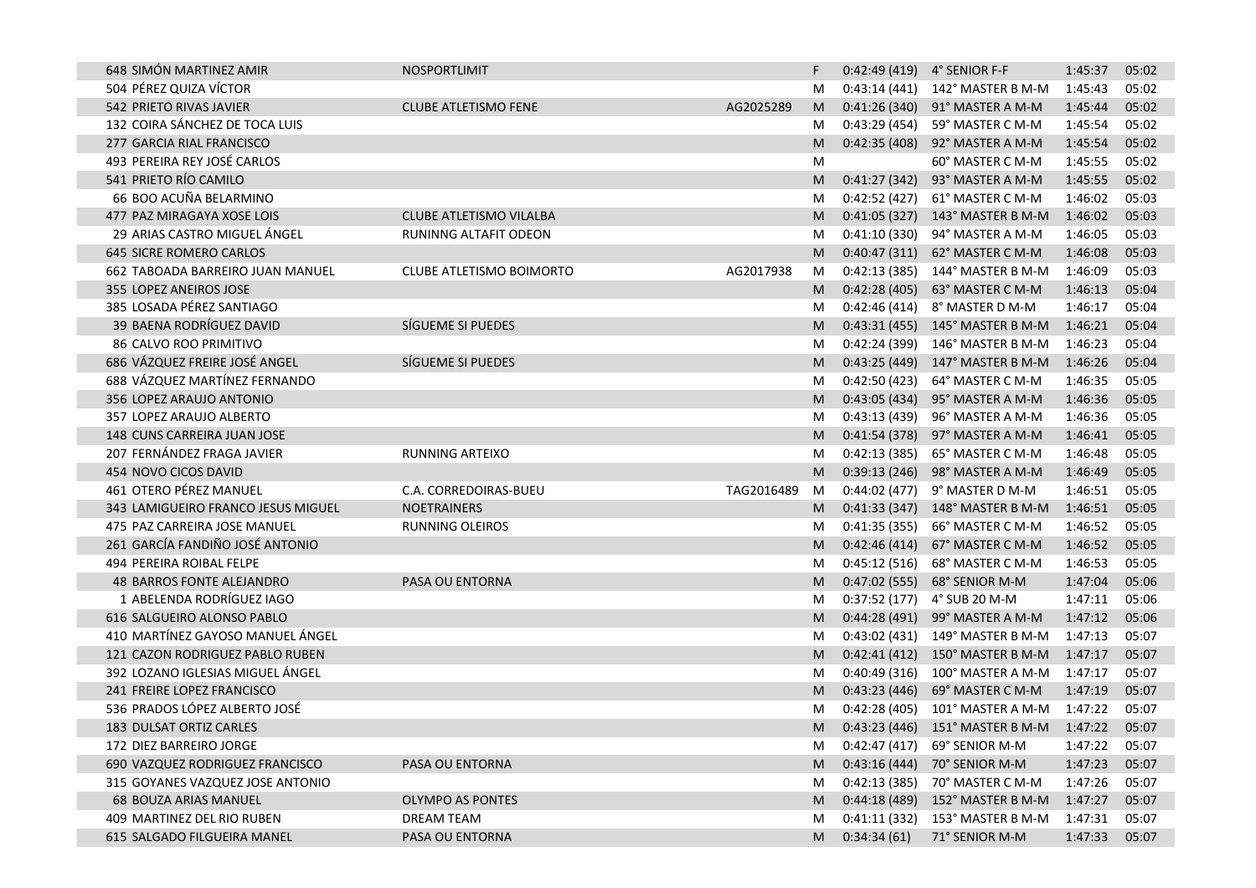| 648 SIMÓN MARTINEZ AMIR            | <b>NOSPORTLIMIT</b>             |            | F |               | $0:42:49(419)$ 4° SENIOR F-F            | 1:45:37 | 05:02 |
|------------------------------------|---------------------------------|------------|---|---------------|-----------------------------------------|---------|-------|
| 504 PÉREZ QUIZA VÍCTOR             |                                 |            | M |               | $0:43:14(441)$ 142° MASTER B M-M        | 1:45:43 | 05:02 |
| 542 PRIETO RIVAS JAVIER            | <b>CLUBE ATLETISMO FENE</b>     | AG2025289  | M |               | 0:41:26 (340) 91° MASTER A M-M          | 1:45:44 | 05:02 |
| 132 COIRA SÁNCHEZ DE TOCA LUIS     |                                 |            | M |               | 0:43:29 (454) 59° MASTER C M-M          | 1:45:54 | 05:02 |
| 277 GARCIA RIAL FRANCISCO          |                                 |            | M |               | 0:42:35 (408) 92° MASTER A M-M          | 1:45:54 | 05:02 |
| 493 PEREIRA REY JOSÉ CARLOS        |                                 |            | M |               | 60° MASTER C M-M                        | 1:45:55 | 05:02 |
| 541 PRIETO RÍO CAMILO              |                                 |            | M | 0:41:27(342)  | 93° MASTER A M-M                        | 1:45:55 | 05:02 |
| 66 BOO ACUÑA BELARMINO             |                                 |            | M |               | 0:42:52 (427) 61° MASTER C M-M          | 1:46:02 | 05:03 |
| 477 PAZ MIRAGAYA XOSE LOIS         | CLUBE ATLETISMO VILALBA         |            | M |               | $0:41:05(327)$ 143° MASTER B M-M        | 1:46:02 | 05:03 |
| 29 ARIAS CASTRO MIGUEL ÁNGEL       | <b>RUNINNG ALTAFIT ODEON</b>    |            | M |               | 0:41:10 (330) 94° MASTER A M-M          | 1:46:05 | 05:03 |
| <b>645 SICRE ROMERO CARLOS</b>     |                                 |            | M |               | 0:40:47 (311) 62° MASTER C M-M          | 1:46:08 | 05:03 |
| 662 TABOADA BARREIRO JUAN MANUEL   | <b>CLUBE ATLETISMO BOIMORTO</b> | AG2017938  | M |               | 0:42:13 (385) 144° MASTER B M-M         | 1:46:09 | 05:03 |
| 355 LOPEZ ANEIROS JOSE             |                                 |            | M |               | 0:42:28 (405) 63° MASTER C M-M          | 1:46:13 | 05:04 |
| 385 LOSADA PÉREZ SANTIAGO          |                                 |            | M |               | 0:42:46 (414) 8° MASTER D M-M           | 1:46:17 | 05:04 |
| 39 BAENA RODRÍGUEZ DAVID           | SÍGUEME SI PUEDES               |            | M |               | $0:43:31(455)$ 145° MASTER B M-M        | 1:46:21 | 05:04 |
| 86 CALVO ROO PRIMITIVO             |                                 |            | M |               | 0:42:24 (399) 146° MASTER B M-M         | 1:46:23 | 05:04 |
| 686 VÁZQUEZ FREIRE JOSÉ ANGEL      | SÍGUEME SI PUEDES               |            | M |               | 0:43:25 (449) 147° MASTER B M-M         | 1:46:26 | 05:04 |
| 688 VÁZQUEZ MARTÍNEZ FERNANDO      |                                 |            | M | 0:42:50 (423) | 64° MASTER C M-M                        | 1:46:35 | 05:05 |
| 356 LOPEZ ARAUJO ANTONIO           |                                 |            | M | 0:43:05 (434) | 95° MASTER A M-M                        | 1:46:36 | 05:05 |
| 357 LOPEZ ARAUJO ALBERTO           |                                 |            | M |               | 0:43:13 (439) 96° MASTER A M-M          | 1:46:36 | 05:05 |
| 148 CUNS CARREIRA JUAN JOSE        |                                 |            | M |               | 0:41:54 (378) 97° MASTER A M-M          | 1:46:41 | 05:05 |
| 207 FERNÁNDEZ FRAGA JAVIER         | RUNNING ARTEIXO                 |            | M |               | 0:42:13 (385) 65° MASTER C M-M          | 1:46:48 | 05:05 |
| 454 NOVO CICOS DAVID               |                                 |            | M |               | 0:39:13 (246) 98° MASTER A M-M          | 1:46:49 | 05:05 |
| 461 OTERO PÉREZ MANUEL             | C.A. CORREDOIRAS-BUEU           | TAG2016489 | M |               | 0:44:02 (477) 9° MASTER D M-M           | 1:46:51 | 05:05 |
| 343 LAMIGUEIRO FRANCO JESUS MIGUEL | <b>NOETRAINERS</b>              |            | M |               | 0:41:33 (347) 148° MASTER B M-M         | 1:46:51 | 05:05 |
| 475 PAZ CARREIRA JOSE MANUEL       | <b>RUNNING OLEIROS</b>          |            | M |               | 0:41:35 (355) 66° MASTER C M-M          | 1:46:52 | 05:05 |
| 261 GARCÍA FANDIÑO JOSÉ ANTONIO    |                                 |            | M | 0:42:46 (414) | 67° MASTER C M-M                        | 1:46:52 | 05:05 |
| 494 PEREIRA ROIBAL FELPE           |                                 |            | M | 0:45:12(516)  | 68° MASTER C M-M                        | 1:46:53 | 05:05 |
| 48 BARROS FONTE ALEJANDRO          | PASA OU ENTORNA                 |            | M | 0:47:02 (555) | 68° SENIOR M-M                          | 1:47:04 | 05:06 |
| 1 ABELENDA RODRÍGUEZ IAGO          |                                 |            | M |               | 0:37:52 (177) 4° SUB 20 M-M             | 1:47:11 | 05:06 |
| 616 SALGUEIRO ALONSO PABLO         |                                 |            | M |               | 0:44:28 (491) 99° MASTER A M-M          | 1:47:12 | 05:06 |
| 410 MARTÍNEZ GAYOSO MANUEL ÁNGEL   |                                 |            | M |               | $0:43:02(431)$ 149° MASTER B M-M        | 1:47:13 | 05:07 |
| 121 CAZON RODRIGUEZ PABLO RUBEN    |                                 |            | M |               | 0:42:41 (412) 150° MASTER B M-M         | 1:47:17 | 05:07 |
| 392 LOZANO IGLESIAS MIGUEL ÁNGEL   |                                 |            | M | 0:40:49 (316) | 100° MASTER A M-M                       | 1:47:17 | 05:07 |
| 241 FREIRE LOPEZ FRANCISCO         |                                 |            | M | 0:43:23(446)  | 69° MASTER C M-M                        | 1:47:19 | 05:07 |
| 536 PRADOS LÓPEZ ALBERTO JOSÉ      |                                 |            | M |               | 0:42:28 (405) 101° MASTER A M-M         | 1:47:22 | 05:07 |
| 183 DULSAT ORTIZ CARLES            |                                 |            | M |               | 0:43:23 (446) 151° MASTER B M-M 1:47:22 |         | 05:07 |
| 172 DIEZ BARREIRO JORGE            |                                 |            | M |               | 0:42:47 (417) 69° SENIOR M-M            | 1:47:22 | 05:07 |
| 690 VAZQUEZ RODRIGUEZ FRANCISCO    | PASA OU ENTORNA                 |            | M |               | 0:43:16 (444) 70° SENIOR M-M            | 1:47:23 | 05:07 |
| 315 GOYANES VAZQUEZ JOSE ANTONIO   |                                 |            | M |               | 0:42:13 (385) 70° MASTER C M-M          | 1:47:26 | 05:07 |
| 68 BOUZA ARIAS MANUEL              | <b>OLYMPO AS PONTES</b>         |            | M |               | 0:44:18 (489) 152° MASTER B M-M         | 1:47:27 | 05:07 |
| 409 MARTINEZ DEL RIO RUBEN         | DREAM TEAM                      |            | M |               | 0:41:11 (332) 153° MASTER B M-M         | 1:47:31 | 05:07 |
| 615 SALGADO FILGUEIRA MANEL        | PASA OU ENTORNA                 |            | M | 0:34:34(61)   | 71° SENIOR M-M                          | 1:47:33 | 05:07 |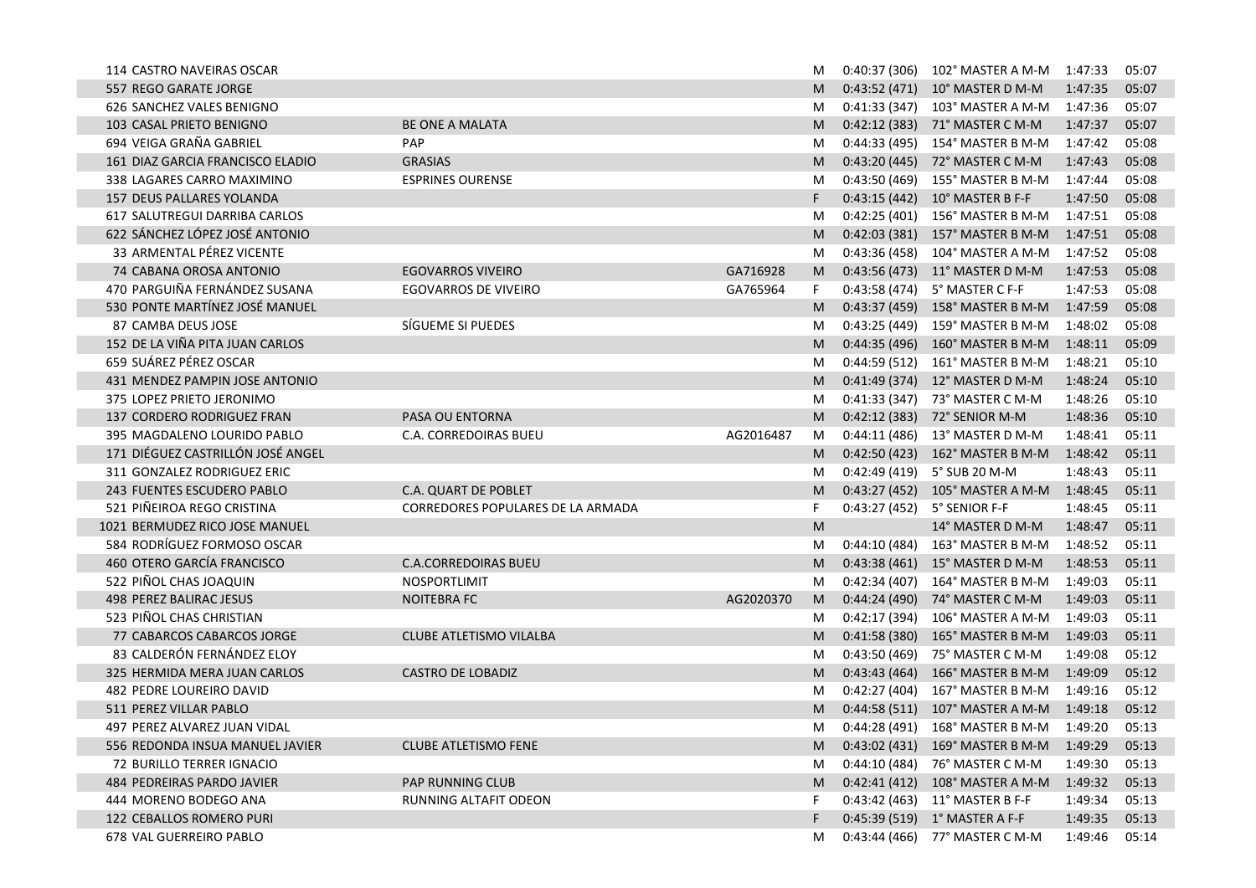| 114 CASTRO NAVEIRAS OSCAR         |                                   |           | M  | 0:40:37 (306) |                                         |         | 05:07 |
|-----------------------------------|-----------------------------------|-----------|----|---------------|-----------------------------------------|---------|-------|
| 557 REGO GARATE JORGE             |                                   |           | M  |               | 0:43:52 (471) 10° MASTER D M-M          | 1:47:35 | 05:07 |
| 626 SANCHEZ VALES BENIGNO         |                                   |           | M  |               | 0:41:33 (347) 103° MASTER A M-M         | 1:47:36 | 05:07 |
| 103 CASAL PRIETO BENIGNO          | BE ONE A MALATA                   |           | M  |               | 0:42:12 (383) 71° MASTER C M-M          | 1:47:37 | 05:07 |
| 694 VEIGA GRAÑA GABRIEL           | <b>PAP</b>                        |           | M  | 0:44:33(495)  | 154° MASTER B M-M                       | 1:47:42 | 05:08 |
| 161 DIAZ GARCIA FRANCISCO ELADIO  | <b>GRASIAS</b>                    |           | M  |               | 0:43:20 (445) 72° MASTER C M-M          | 1:47:43 | 05:08 |
| 338 LAGARES CARRO MAXIMINO        | <b>ESPRINES OURENSE</b>           |           | M  | 0:43:50 (469) | 155° MASTER B M-M                       | 1:47:44 | 05:08 |
| 157 DEUS PALLARES YOLANDA         |                                   |           | F  | 0:43:15(442)  | 10° MASTER B F-F                        | 1:47:50 | 05:08 |
| 617 SALUTREGUI DARRIBA CARLOS     |                                   |           | M  | 0:42:25 (401) | 156° MASTER B M-M                       | 1:47:51 | 05:08 |
| 622 SÁNCHEZ LÓPEZ JOSÉ ANTONIO    |                                   |           | M  |               | 0:42:03 (381) 157° MASTER B M-M         | 1:47:51 | 05:08 |
| 33 ARMENTAL PÉREZ VICENTE         |                                   |           | M  | 0:43:36 (458) | 104° MASTER A M-M                       | 1:47:52 | 05:08 |
| 74 CABANA OROSA ANTONIO           | <b>EGOVARROS VIVEIRO</b>          | GA716928  | M  |               | 0:43:56 (473) 11° MASTER D M-M          | 1:47:53 | 05:08 |
| 470 PARGUIÑA FERNÁNDEZ SUSANA     | <b>EGOVARROS DE VIVEIRO</b>       | GA765964  | F. |               | 0:43:58 (474) 5° MASTER C F-F           | 1:47:53 | 05:08 |
| 530 PONTE MARTÍNEZ JOSÉ MANUEL    |                                   |           | M  |               | 0:43:37 (459) 158° MASTER B M-M         | 1:47:59 | 05:08 |
| 87 CAMBA DEUS JOSE                | SÍGUEME SI PUEDES                 |           | M  | 0:43:25 (449) | 159° MASTER B M-M                       | 1:48:02 | 05:08 |
| 152 DE LA VIÑA PITA JUAN CARLOS   |                                   |           | M  |               | 0:44:35 (496) 160° MASTER B M-M         | 1:48:11 | 05:09 |
| 659 SUÁREZ PÉREZ OSCAR            |                                   |           | M  | 0:44:59 (512) | 161° MASTER B M-M                       | 1:48:21 | 05:10 |
| 431 MENDEZ PAMPIN JOSE ANTONIO    |                                   |           | M  |               | 0:41:49 (374) 12° MASTER D M-M          | 1:48:24 | 05:10 |
| 375 LOPEZ PRIETO JERONIMO         |                                   |           | M  | 0:41:33 (347) | 73° MASTER C M-M                        | 1:48:26 | 05:10 |
| 137 CORDERO RODRIGUEZ FRAN        | PASA OU ENTORNA                   |           | M  |               | 0:42:12 (383) 72° SENIOR M-M            | 1:48:36 | 05:10 |
| 395 MAGDALENO LOURIDO PABLO       | C.A. CORREDOIRAS BUEU             | AG2016487 | M  | 0:44:11(486)  | 13° MASTER D M-M                        | 1:48:41 | 05:11 |
| 171 DIÉGUEZ CASTRILLÓN JOSÉ ANGEL |                                   |           | M  |               | 0:42:50 (423) 162° MASTER B M-M         | 1:48:42 | 05:11 |
| 311 GONZALEZ RODRIGUEZ ERIC       |                                   |           | M  | 0:42:49 (419) | 5° SUB 20 M-M                           | 1:48:43 | 05:11 |
| 243 FUENTES ESCUDERO PABLO        | C.A. QUART DE POBLET              |           | M  |               | 0:43:27 (452) 105° MASTER A M-M         | 1:48:45 | 05:11 |
| 521 PIÑEIROA REGO CRISTINA        | CORREDORES POPULARES DE LA ARMADA |           | F  | 0:43:27 (452) | 5° SENIOR F-F                           | 1:48:45 | 05:11 |
| 1021 BERMUDEZ RICO JOSE MANUEL    |                                   |           | M  |               | 14° MASTER D M-M                        | 1:48:47 | 05:11 |
| 584 RODRÍGUEZ FORMOSO OSCAR       |                                   |           | M  |               | 0:44:10 (484) 163° MASTER B M-M         | 1:48:52 | 05:11 |
| 460 OTERO GARCÍA FRANCISCO        | <b>C.A.CORREDOIRAS BUEU</b>       |           | M  |               | 0:43:38 (461) 15° MASTER D M-M          | 1:48:53 | 05:11 |
| 522 PIÑOL CHAS JOAQUIN            | NOSPORTLIMIT                      |           | M  |               | 0:42:34 (407) 164° MASTER B M-M         | 1:49:03 | 05:11 |
| 498 PEREZ BALIRAC JESUS           | NOITEBRA FC                       | AG2020370 | M  | 0:44:24(490)  | 74° MASTER C M-M                        | 1:49:03 | 05:11 |
| 523 PIÑOL CHAS CHRISTIAN          |                                   |           | M  | 0:42:17 (394) | 106° MASTER A M-M                       | 1:49:03 | 05:11 |
| 77 CABARCOS CABARCOS JORGE        | CLUBE ATLETISMO VILALBA           |           | M  |               | 0:41:58 (380) 165° MASTER B M-M         | 1:49:03 | 05:11 |
| 83 CALDERÓN FERNÁNDEZ ELOY        |                                   |           | M  | 0:43:50 (469) | 75° MASTER C M-M                        | 1:49:08 | 05:12 |
| 325 HERMIDA MERA JUAN CARLOS      | <b>CASTRO DE LOBADIZ</b>          |           | M  | 0:43:43(464)  | 166° MASTER B M-M                       | 1:49:09 | 05:12 |
| 482 PEDRE LOUREIRO DAVID          |                                   |           | M  | 0:42:27(404)  | 167° MASTER B M-M                       | 1:49:16 | 05:12 |
| 511 PEREZ VILLAR PABLO            |                                   |           | M  |               | 0:44:58 (511) 107° MASTER A M-M         | 1:49:18 | 05:12 |
| 497 PEREZ ALVAREZ JUAN VIDAL      |                                   |           | M  |               | 0:44:28 (491) 168° MASTER B M-M 1:49:20 |         | 05:13 |
| 556 REDONDA INSUA MANUEL JAVIER   | <b>CLUBE ATLETISMO FENE</b>       |           |    |               |                                         |         | 05:13 |
| 72 BURILLO TERRER IGNACIO         |                                   |           | M  |               | 0:44:10 (484) 76° MASTER C M-M          | 1:49:30 | 05:13 |
| 484 PEDREIRAS PARDO JAVIER        | PAP RUNNING CLUB                  |           | M  |               | 0:42:41 (412) 108° MASTER A M-M         | 1:49:32 | 05:13 |
| 444 MORENO BODEGO ANA             | RUNNING ALTAFIT ODEON             |           | F  |               | 0:43:42 (463) 11° MASTER B F-F          | 1:49:34 | 05:13 |
| 122 CEBALLOS ROMERO PURI          |                                   |           | F  |               | 0:45:39 (519) 1° MASTER A F-F           | 1:49:35 | 05:13 |
| 678 VAL GUERREIRO PABLO           |                                   |           | M  |               | 0:43:44 (466) 77° MASTER C M-M          | 1:49:46 | 05:14 |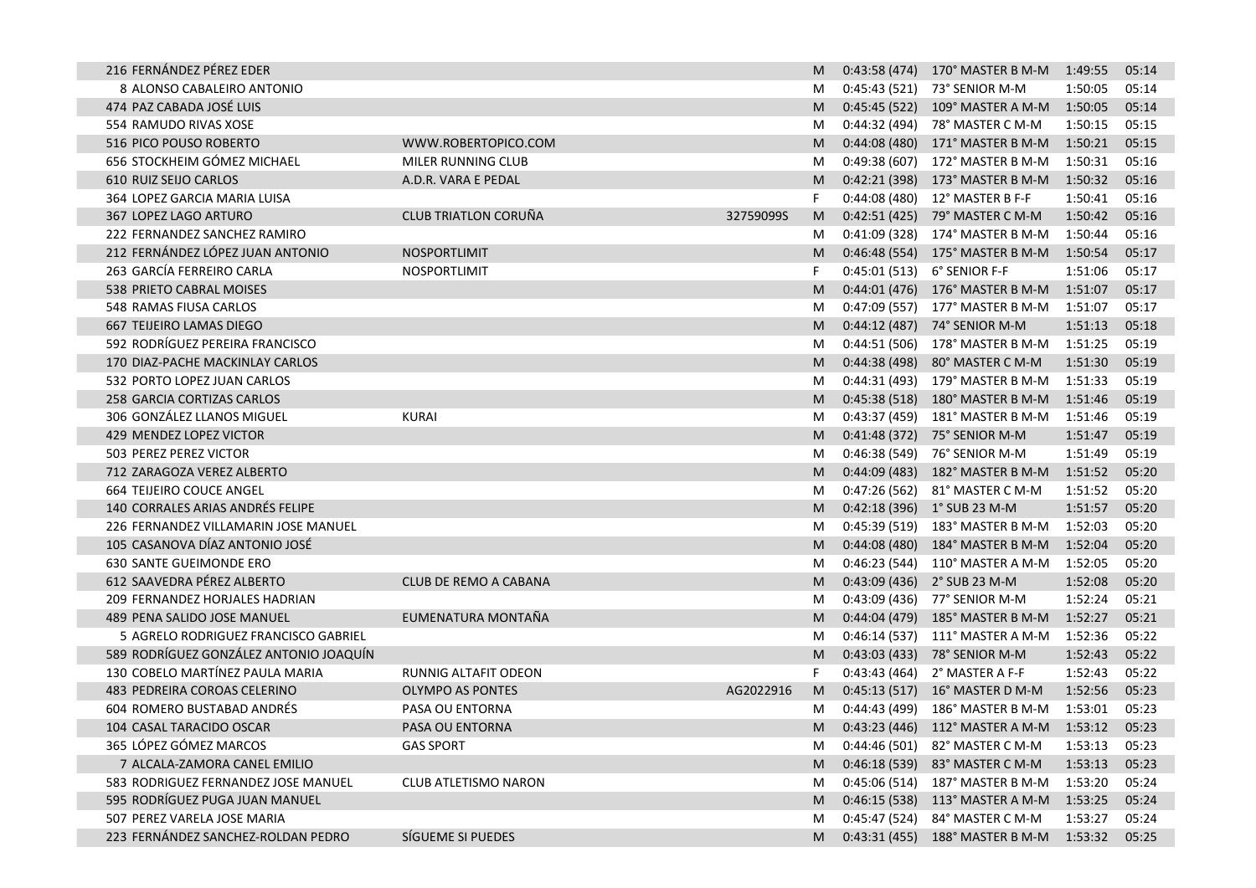| 216 FERNÁNDEZ PÉREZ EDER               |                             |           | M  | $0:43:58(474)$ 170° MASTER B M-M 1:49:55 |         | 05:14 |
|----------------------------------------|-----------------------------|-----------|----|------------------------------------------|---------|-------|
| 8 ALONSO CABALEIRO ANTONIO             |                             |           | M  | 0:45:43 (521) 73° SENIOR M-M             | 1:50:05 | 05:14 |
| 474 PAZ CABADA JOSÉ LUIS               |                             |           | M  | 0:45:45 (522) 109° MASTER A M-M          | 1:50:05 | 05:14 |
| 554 RAMUDO RIVAS XOSE                  |                             |           | M  | 0:44:32 (494) 78° MASTER C M-M           | 1:50:15 | 05:15 |
| 516 PICO POUSO ROBERTO                 | WWW.ROBERTOPICO.COM         |           | M  | 0:44:08 (480) 171° MASTER B M-M          | 1:50:21 | 05:15 |
| 656 STOCKHEIM GÓMEZ MICHAEL            | MILER RUNNING CLUB          |           | M  | 0:49:38 (607) 172° MASTER B M-M          | 1:50:31 | 05:16 |
| 610 RUIZ SEIJO CARLOS                  | A.D.R. VARA E PEDAL         |           | M  | 0:42:21 (398) 173° MASTER B M-M          | 1:50:32 | 05:16 |
| 364 LOPEZ GARCIA MARIA LUISA           |                             |           | F  | 0:44:08 (480) 12° MASTER B F-F           | 1:50:41 | 05:16 |
| <b>367 LOPEZ LAGO ARTURO</b>           | <b>CLUB TRIATLON CORUÑA</b> | 32759099S | M  | 0:42:51 (425) 79° MASTER C M-M           | 1:50:42 | 05:16 |
| 222 FERNANDEZ SANCHEZ RAMIRO           |                             |           | M  | 0:41:09 (328) 174° MASTER B M-M          | 1:50:44 | 05:16 |
| 212 FERNÁNDEZ LÓPEZ JUAN ANTONIO       | NOSPORTLIMIT                |           | M  | 0:46:48 (554) 175° MASTER B M-M          | 1:50:54 | 05:17 |
| 263 GARCÍA FERREIRO CARLA              | NOSPORTLIMIT                |           | F  | 0:45:01 (513) 6° SENIOR F-F              | 1:51:06 | 05:17 |
| 538 PRIETO CABRAL MOISES               |                             |           | M  | 0:44:01 (476) 176° MASTER B M-M 1:51:07  |         | 05:17 |
| 548 RAMAS FIUSA CARLOS                 |                             |           | M  | 0:47:09 (557) 177° MASTER B M-M          | 1:51:07 | 05:17 |
| 667 TEIJEIRO LAMAS DIEGO               |                             |           | M  | 0:44:12 (487) 74° SENIOR M-M             | 1:51:13 | 05:18 |
| 592 RODRÍGUEZ PEREIRA FRANCISCO        |                             |           | M  | 0:44:51 (506) 178° MASTER B M-M          | 1:51:25 | 05:19 |
| 170 DIAZ-PACHE MACKINLAY CARLOS        |                             |           | M  | 0:44:38 (498) 80° MASTER C M-M           | 1:51:30 | 05:19 |
| 532 PORTO LOPEZ JUAN CARLOS            |                             |           | M  | 0:44:31 (493) 179° MASTER B M-M          | 1:51:33 | 05:19 |
| 258 GARCIA CORTIZAS CARLOS             |                             |           | M  | 0:45:38 (518) 180° MASTER B M-M          | 1:51:46 | 05:19 |
| 306 GONZÁLEZ LLANOS MIGUEL             | <b>KURAI</b>                |           | M  | $0:43:37(459)$ 181° MASTER B M-M         | 1:51:46 | 05:19 |
| 429 MENDEZ LOPEZ VICTOR                |                             |           | M  | 0:41:48 (372) 75° SENIOR M-M             | 1:51:47 | 05:19 |
| 503 PEREZ PEREZ VICTOR                 |                             |           | M  | 0:46:38 (549) 76° SENIOR M-M             | 1:51:49 | 05:19 |
| 712 ZARAGOZA VEREZ ALBERTO             |                             |           | M  | 0:44:09 (483) 182° MASTER B M-M          | 1:51:52 | 05:20 |
| <b>664 TEIJEIRO COUCE ANGEL</b>        |                             |           | M  | 0:47:26 (562) 81° MASTER C M-M           | 1:51:52 | 05:20 |
| 140 CORRALES ARIAS ANDRÉS FELIPE       |                             |           | M  | 0:42:18 (396) 1° SUB 23 M-M              | 1:51:57 | 05:20 |
| 226 FERNANDEZ VILLAMARIN JOSE MANUEL   |                             |           | M  | 0:45:39 (519) 183° MASTER B M-M          | 1:52:03 | 05:20 |
| 105 CASANOVA DÍAZ ANTONIO JOSÉ         |                             |           | M  | 0:44:08 (480) 184° MASTER B M-M          | 1:52:04 | 05:20 |
| 630 SANTE GUEIMONDE ERO                |                             |           | M  | 0:46:23 (544) 110° MASTER A M-M          | 1:52:05 | 05:20 |
| 612 SAAVEDRA PÉREZ ALBERTO             | CLUB DE REMO A CABANA       |           | M  | $0:43:09(436)$ $2^{\circ}$ SUB 23 M-M    | 1:52:08 | 05:20 |
| 209 FERNANDEZ HORJALES HADRIAN         |                             |           | M  | 0:43:09 (436) 77° SENIOR M-M             | 1:52:24 | 05:21 |
| 489 PENA SALIDO JOSE MANUEL            | EUMENATURA MONTAÑA          |           | M  | 0:44:04 (479) 185° MASTER B M-M          | 1:52:27 | 05:21 |
| 5 AGRELO RODRIGUEZ FRANCISCO GABRIEL   |                             |           | M  | 0:46:14 (537) 111° MASTER A M-M          | 1:52:36 | 05:22 |
| 589 RODRÍGUEZ GONZÁLEZ ANTONIO JOAQUÍN |                             |           | M  | 0:43:03 (433) 78° SENIOR M-M             | 1:52:43 | 05:22 |
| 130 COBELO MARTÍNEZ PAULA MARIA        | RUNNIG ALTAFIT ODEON        |           | F. | 0:43:43 (464) 2° MASTER A F-F            | 1:52:43 | 05:22 |
| 483 PEDREIRA COROAS CELERINO           | <b>OLYMPO AS PONTES</b>     | AG2022916 | M  | 0:45:13 (517) 16° MASTER D M-M           | 1:52:56 | 05:23 |
| 604 ROMERO BUSTABAD ANDRÉS             | PASA OU ENTORNA             |           | M  | 0:44:43 (499) 186° MASTER B M-M          | 1:53:01 | 05:23 |
| 104 CASAL TARACIDO OSCAR               | PASA OU ENTORNA             |           | M  | 0:43:23 (446) 112° MASTER A M-M 1:53:12  |         | 05:23 |
| 365 LÓPEZ GÓMEZ MARCOS                 | <b>GAS SPORT</b>            |           | M  | 0:44:46 (501) 82° MASTER C M-M           | 1:53:13 | 05:23 |
| 7 ALCALA-ZAMORA CANEL EMILIO           |                             |           | M  | 0:46:18 (539) 83° MASTER C M-M           | 1:53:13 | 05:23 |
| 583 RODRIGUEZ FERNANDEZ JOSE MANUEL    | <b>CLUB ATLETISMO NARON</b> |           | M  | 0:45:06 (514) 187° MASTER B M-M          | 1:53:20 | 05:24 |
| 595 RODRÍGUEZ PUGA JUAN MANUEL         |                             |           | M  | 0:46:15 (538) 113° MASTER A M-M          | 1:53:25 | 05:24 |
| 507 PEREZ VARELA JOSE MARIA            |                             |           | M  | 0:45:47 (524) 84° MASTER C M-M           | 1:53:27 | 05:24 |
| 223 FERNÁNDEZ SANCHEZ-ROLDAN PEDRO     | SÍGUEME SI PUEDES           |           | M  | 0:43:31 (455) 188° MASTER B M-M 1:53:32  |         | 05:25 |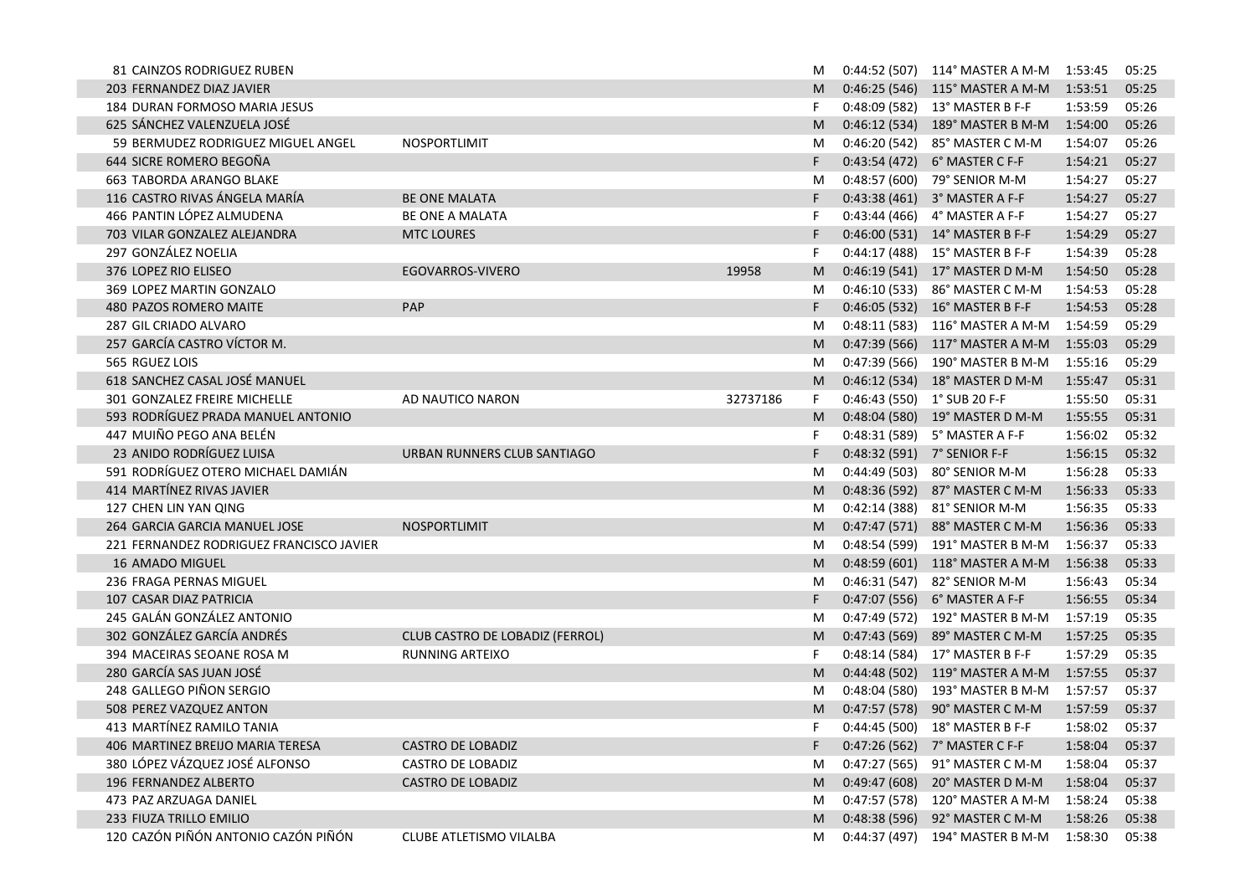| 81 CAINZOS RODRIGUEZ RUBEN               |                                 |          | M  |                             | $0:44:52(507)$ 114° MASTER A M-M 1:53:45 |         | 05:25 |
|------------------------------------------|---------------------------------|----------|----|-----------------------------|------------------------------------------|---------|-------|
| 203 FERNANDEZ DIAZ JAVIER                |                                 |          | M  |                             | 0:46:25 (546) 115° MASTER A M-M 1:53:51  |         | 05:25 |
| 184 DURAN FORMOSO MARIA JESUS            |                                 |          | F  |                             | 0:48:09 (582) 13° MASTER B F-F           | 1:53:59 | 05:26 |
| 625 SÁNCHEZ VALENZUELA JOSÉ              |                                 |          | M  |                             | 0:46:12 (534) 189° MASTER B M-M          | 1:54:00 | 05:26 |
| 59 BERMUDEZ RODRIGUEZ MIGUEL ANGEL       | NOSPORTLIMIT                    |          | M  |                             | 0:46:20 (542) 85° MASTER C M-M           | 1:54:07 | 05:26 |
| 644 SICRE ROMERO BEGOÑA                  |                                 |          | F. |                             | 0:43:54 (472) 6° MASTER C F-F            | 1:54:21 | 05:27 |
| 663 TABORDA ARANGO BLAKE                 |                                 |          | M  |                             | 0:48:57 (600) 79° SENIOR M-M             | 1:54:27 | 05:27 |
| 116 CASTRO RIVAS ÁNGELA MARÍA            | <b>BE ONE MALATA</b>            |          | F  |                             | 0:43:38 (461) 3° MASTER A F-F            | 1:54:27 | 05:27 |
| 466 PANTIN LÓPEZ ALMUDENA                | BE ONE A MALATA                 |          | F  |                             | 0:43:44 (466) 4° MASTER A F-F            | 1:54:27 | 05:27 |
| 703 VILAR GONZALEZ ALEJANDRA             | <b>MTC LOURES</b>               |          | F  |                             | 0:46:00 (531) 14° MASTER B F-F           | 1:54:29 | 05:27 |
| 297 GONZÁLEZ NOELIA                      |                                 |          | F  |                             | 0:44:17 (488) 15° MASTER B F-F           | 1:54:39 | 05:28 |
| 376 LOPEZ RIO ELISEO                     | EGOVARROS-VIVERO                | 19958    | M  |                             | 0:46:19 (541) 17° MASTER D M-M           | 1:54:50 | 05:28 |
| 369 LOPEZ MARTIN GONZALO                 |                                 |          | M  |                             | 0:46:10 (533) 86° MASTER C M-M           | 1:54:53 | 05:28 |
| 480 PAZOS ROMERO MAITE                   | PAP                             |          | F  |                             | 0:46:05 (532) 16° MASTER B F-F           | 1:54:53 | 05:28 |
| 287 GIL CRIADO ALVARO                    |                                 |          | M  |                             | 0:48:11 (583) 116° MASTER A M-M          | 1:54:59 | 05:29 |
| 257 GARCÍA CASTRO VÍCTOR M.              |                                 |          | M  |                             | 0:47:39 (566) 117° MASTER A M-M          | 1:55:03 | 05:29 |
| 565 RGUEZ LOIS                           |                                 |          | M  |                             | 0:47:39 (566) 190° MASTER B M-M          | 1:55:16 | 05:29 |
| 618 SANCHEZ CASAL JOSÉ MANUEL            |                                 |          | M  |                             | 0:46:12 (534) 18° MASTER D M-M           | 1:55:47 | 05:31 |
| 301 GONZALEZ FREIRE MICHELLE             | AD NAUTICO NARON                | 32737186 | F  | 0:46:43 (550) 1° SUB 20 F-F |                                          | 1:55:50 | 05:31 |
| 593 RODRÍGUEZ PRADA MANUEL ANTONIO       |                                 |          | M  |                             | 0:48:04 (580) 19° MASTER D M-M           | 1:55:55 | 05:31 |
| 447 MUIÑO PEGO ANA BELÉN                 |                                 |          | F. |                             | 0:48:31 (589) 5° MASTER A F-F            | 1:56:02 | 05:32 |
| 23 ANIDO RODRÍGUEZ LUISA                 | URBAN RUNNERS CLUB SANTIAGO     |          | F  |                             | 0:48:32 (591) 7° SENIOR F-F              | 1:56:15 | 05:32 |
| 591 RODRÍGUEZ OTERO MICHAEL DAMIÁN       |                                 |          | M  |                             | 0:44:49 (503) 80° SENIOR M-M             | 1:56:28 | 05:33 |
| 414 MARTÍNEZ RIVAS JAVIER                |                                 |          | M  |                             | 0:48:36 (592) 87° MASTER C M-M           | 1:56:33 | 05:33 |
| 127 CHEN LIN YAN QING                    |                                 |          | M  |                             | 0:42:14 (388) 81° SENIOR M-M             | 1:56:35 | 05:33 |
| 264 GARCIA GARCIA MANUEL JOSE            | NOSPORTLIMIT                    |          | M  |                             | 0:47:47 (571) 88° MASTER C M-M           | 1:56:36 | 05:33 |
| 221 FERNANDEZ RODRIGUEZ FRANCISCO JAVIER |                                 |          | M  |                             | 0:48:54 (599) 191° MASTER B M-M          | 1:56:37 | 05:33 |
| 16 AMADO MIGUEL                          |                                 |          | M  |                             | 0:48:59 (601) 118° MASTER A M-M          | 1:56:38 | 05:33 |
| 236 FRAGA PERNAS MIGUEL                  |                                 |          | M  |                             | 0:46:31 (547) 82° SENIOR M-M             | 1:56:43 | 05:34 |
| 107 CASAR DIAZ PATRICIA                  |                                 |          | F. |                             | 0:47:07 (556) 6° MASTER A F-F            | 1:56:55 | 05:34 |
| 245 GALÁN GONZÁLEZ ANTONIO               |                                 |          | M  |                             | $0:47:49(572)$ 192° MASTER B M-M         | 1:57:19 | 05:35 |
| 302 GONZÁLEZ GARCÍA ANDRÉS               | CLUB CASTRO DE LOBADIZ (FERROL) |          | M  |                             | 0:47:43 (569) 89° MASTER C M-M           | 1:57:25 | 05:35 |
| 394 MACEIRAS SEOANE ROSA M               | RUNNING ARTEIXO                 |          | F  |                             | 0:48:14 (584) 17° MASTER B F-F           | 1:57:29 | 05:35 |
| 280 GARCÍA SAS JUAN JOSÉ                 |                                 |          | M  |                             | 0:44:48 (502) 119° MASTER A M-M          | 1:57:55 | 05:37 |
| 248 GALLEGO PIÑON SERGIO                 |                                 |          | M  |                             | 0:48:04 (580) 193° MASTER B M-M          | 1:57:57 | 05:37 |
| 508 PEREZ VAZQUEZ ANTON                  |                                 |          | M  |                             | 0:47:57 (578) 90° MASTER C M-M           | 1:57:59 | 05:37 |
| 413 MARTÍNEZ RAMILO TANIA                |                                 |          | F  |                             | 0:44:45 (500) 18° MASTER B F-F           | 1:58:02 | 05:37 |
| 406 MARTINEZ BREIJO MARIA TERESA         | <b>CASTRO DE LOBADIZ</b>        |          |    |                             | 0:47:26 (562) 7° MASTER C F-F            | 1:58:04 | 05:37 |
| 380 LÓPEZ VÁZQUEZ JOSÉ ALFONSO           | <b>CASTRO DE LOBADIZ</b>        |          | M  |                             | 0:47:27 (565) 91° MASTER C M-M           | 1:58:04 | 05:37 |
| 196 FERNANDEZ ALBERTO                    | <b>CASTRO DE LOBADIZ</b>        |          | M  |                             | 0:49:47 (608) 20° MASTER D M-M           | 1:58:04 | 05:37 |
| 473 PAZ ARZUAGA DANIEL                   |                                 |          | M  |                             | 0:47:57 (578) 120° MASTER A M-M          | 1:58:24 | 05:38 |
| 233 FIUZA TRILLO EMILIO                  |                                 |          | M  |                             | 0:48:38 (596) 92° MASTER C M-M           | 1:58:26 | 05:38 |
| 120 CAZÓN PIÑÓN ANTONIO CAZÓN PIÑÓN      | CLUBE ATLETISMO VILALBA         |          | M  |                             | 0:44:37 (497) 194° MASTER B M-M          | 1:58:30 | 05:38 |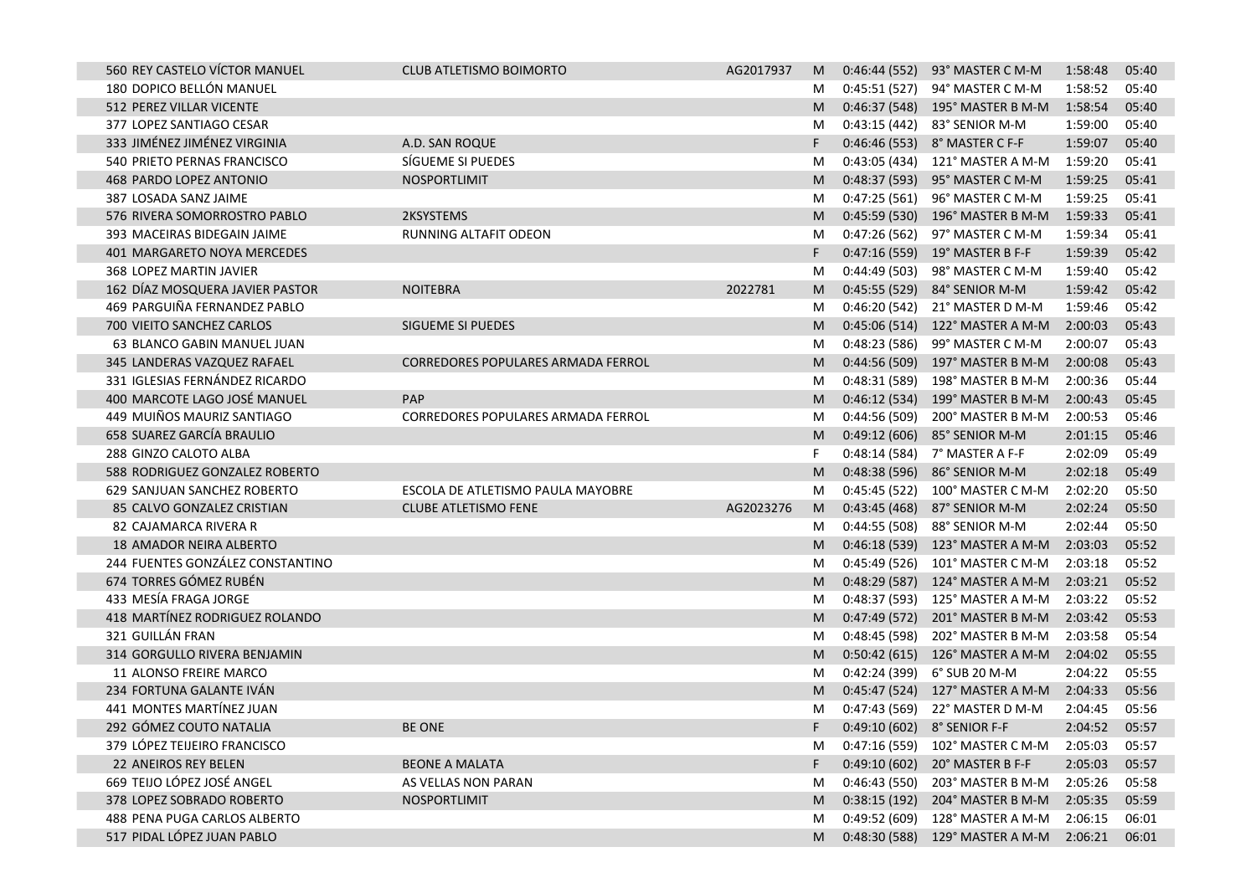| 560 REY CASTELO VÍCTOR MANUEL   |                                  | CLUB ATLETISMO BOIMORTO            | AG2017937 | M  |              | 0:46:44 (552) 93° MASTER C M-M  | 1:58:48 | 05:40 |
|---------------------------------|----------------------------------|------------------------------------|-----------|----|--------------|---------------------------------|---------|-------|
| 180 DOPICO BELLÓN MANUEL        |                                  |                                    |           | M  |              | 0:45:51 (527) 94° MASTER C M-M  | 1:58:52 | 05:40 |
| 512 PEREZ VILLAR VICENTE        |                                  |                                    |           | M  |              | 0:46:37 (548) 195° MASTER B M-M | 1:58:54 | 05:40 |
| 377 LOPEZ SANTIAGO CESAR        |                                  |                                    |           | M  |              | 0:43:15 (442) 83° SENIOR M-M    | 1:59:00 | 05:40 |
| 333 JIMÉNEZ JIMÉNEZ VIRGINIA    |                                  | A.D. SAN ROQUE                     |           | F  |              | 0:46:46 (553) 8° MASTER C F-F   | 1:59:07 | 05:40 |
| 540 PRIETO PERNAS FRANCISCO     |                                  | SÍGUEME SI PUEDES                  |           | M  |              | 0:43:05 (434) 121° MASTER A M-M | 1:59:20 | 05:41 |
| 468 PARDO LOPEZ ANTONIO         |                                  | NOSPORTLIMIT                       |           | M  |              | 0:48:37 (593) 95° MASTER C M-M  | 1:59:25 | 05:41 |
| 387 LOSADA SANZ JAIME           |                                  |                                    |           | M  |              | 0:47:25 (561) 96° MASTER C M-M  | 1:59:25 | 05:41 |
| 576 RIVERA SOMORROSTRO PABLO    |                                  | 2KSYSTEMS                          |           | M  |              | 0:45:59 (530) 196° MASTER B M-M | 1:59:33 | 05:41 |
| 393 MACEIRAS BIDEGAIN JAIME     |                                  | RUNNING ALTAFIT ODEON              |           | M  |              | 0:47:26 (562) 97° MASTER C M-M  | 1:59:34 | 05:41 |
| 401 MARGARETO NOYA MERCEDES     |                                  |                                    |           | F  |              | 0:47:16 (559) 19° MASTER B F-F  | 1:59:39 | 05:42 |
| 368 LOPEZ MARTIN JAVIER         |                                  |                                    |           | M  |              | 0:44:49 (503) 98° MASTER C M-M  | 1:59:40 | 05:42 |
| 162 DÍAZ MOSQUERA JAVIER PASTOR |                                  | <b>NOITEBRA</b>                    | 2022781   | M  |              | 0:45:55 (529) 84° SENIOR M-M    | 1:59:42 | 05:42 |
| 469 PARGUIÑA FERNANDEZ PABLO    |                                  |                                    |           | M  |              | 0:46:20 (542) 21° MASTER D M-M  | 1:59:46 | 05:42 |
| 700 VIEITO SANCHEZ CARLOS       |                                  | SIGUEME SI PUEDES                  |           | M  |              | 0:45:06 (514) 122° MASTER A M-M | 2:00:03 | 05:43 |
| 63 BLANCO GABIN MANUEL JUAN     |                                  |                                    |           | M  |              | 0:48:23 (586) 99° MASTER C M-M  | 2:00:07 | 05:43 |
| 345 LANDERAS VAZQUEZ RAFAEL     |                                  | CORREDORES POPULARES ARMADA FERROL |           | M  |              | 0:44:56 (509) 197° MASTER B M-M | 2:00:08 | 05:43 |
| 331 IGLESIAS FERNÁNDEZ RICARDO  |                                  |                                    |           | M  |              | 0:48:31 (589) 198° MASTER B M-M | 2:00:36 | 05:44 |
| 400 MARCOTE LAGO JOSÉ MANUEL    |                                  | PAP                                |           | M  |              | 0:46:12 (534) 199° MASTER B M-M | 2:00:43 | 05:45 |
| 449 MUIÑOS MAURIZ SANTIAGO      |                                  | CORREDORES POPULARES ARMADA FERROL |           | M  | 0:44:56(509) | 200° MASTER B M-M               | 2:00:53 | 05:46 |
| 658 SUAREZ GARCÍA BRAULIO       |                                  |                                    |           | M  |              | 0:49:12 (606) 85° SENIOR M-M    | 2:01:15 | 05:46 |
| 288 GINZO CALOTO ALBA           |                                  |                                    |           | F  |              | 0:48:14 (584) 7° MASTER A F-F   | 2:02:09 | 05:49 |
| 588 RODRIGUEZ GONZALEZ ROBERTO  |                                  |                                    |           | M  |              | 0:48:38 (596) 86° SENIOR M-M    | 2:02:18 | 05:49 |
| 629 SANJUAN SANCHEZ ROBERTO     |                                  | ESCOLA DE ATLETISMO PAULA MAYOBRE  |           | M  |              | 0:45:45 (522) 100° MASTER C M-M | 2:02:20 | 05:50 |
| 85 CALVO GONZALEZ CRISTIAN      |                                  | <b>CLUBE ATLETISMO FENE</b>        | AG2023276 | M  |              | 0:43:45 (468) 87° SENIOR M-M    | 2:02:24 | 05:50 |
| 82 CAJAMARCA RIVERA R           |                                  |                                    |           | M  |              | 0:44:55 (508) 88° SENIOR M-M    | 2:02:44 | 05:50 |
| 18 AMADOR NEIRA ALBERTO         |                                  |                                    |           | M  |              | 0:46:18 (539) 123° MASTER A M-M | 2:03:03 | 05:52 |
|                                 | 244 FUENTES GONZÁLEZ CONSTANTINO |                                    |           | M  |              | 0:45:49 (526) 101° MASTER C M-M | 2:03:18 | 05:52 |
| 674 TORRES GÓMEZ RUBÉN          |                                  |                                    |           | M  |              | 0:48:29 (587) 124° MASTER A M-M | 2:03:21 | 05:52 |
| 433 MESÍA FRAGA JORGE           |                                  |                                    |           | M  |              | 0:48:37 (593) 125° MASTER A M-M | 2:03:22 | 05:52 |
| 418 MARTÍNEZ RODRIGUEZ ROLANDO  |                                  |                                    |           | M  |              | 0:47:49 (572) 201° MASTER B M-M | 2:03:42 | 05:53 |
| 321 GUILLÁN FRAN                |                                  |                                    |           | M  | 0:48:45(598) | 202° MASTER B M-M               | 2:03:58 | 05:54 |
| 314 GORGULLO RIVERA BENJAMIN    |                                  |                                    |           | M  |              | 0:50:42 (615) 126° MASTER A M-M | 2:04:02 | 05:55 |
| 11 ALONSO FREIRE MARCO          |                                  |                                    |           | M  |              | 0:42:24 (399) 6° SUB 20 M-M     | 2:04:22 | 05:55 |
| 234 FORTUNA GALANTE IVÁN        |                                  |                                    |           | M  |              | 0:45:47 (524) 127° MASTER A M-M | 2:04:33 | 05:56 |
| 441 MONTES MARTÍNEZ JUAN        |                                  |                                    |           | M  |              | 0:47:43 (569) 22° MASTER D M-M  | 2:04:45 | 05:56 |
| 292 GÓMEZ COUTO NATALIA         |                                  | <b>BE ONE</b>                      |           | F  |              | 0:49:10 (602) 8° SENIOR F-F     | 2:04:52 | 05:57 |
| 379 LÓPEZ TEIJEIRO FRANCISCO    |                                  |                                    |           |    |              | 0:47:16 (559) 102° MASTER C M-M | 2:05:03 | 05:57 |
| <b>22 ANEIROS REY BELEN</b>     |                                  | <b>BEONE A MALATA</b>              |           | F. |              | 0:49:10 (602) 20° MASTER B F-F  | 2:05:03 | 05:57 |
| 669 TEIJO LÓPEZ JOSÉ ANGEL      |                                  | AS VELLAS NON PARAN                |           | M  |              | 0:46:43 (550) 203° MASTER B M-M | 2:05:26 | 05:58 |
| 378 LOPEZ SOBRADO ROBERTO       |                                  | NOSPORTLIMIT                       |           | M  |              | 0:38:15 (192) 204° MASTER B M-M | 2:05:35 | 05:59 |
| 488 PENA PUGA CARLOS ALBERTO    |                                  |                                    |           | M  |              | 0:49:52 (609) 128° MASTER A M-M | 2:06:15 | 06:01 |
| 517 PIDAL LÓPEZ JUAN PABLO      |                                  |                                    |           | M  |              | 0:48:30 (588) 129° MASTER A M-M | 2:06:21 | 06:01 |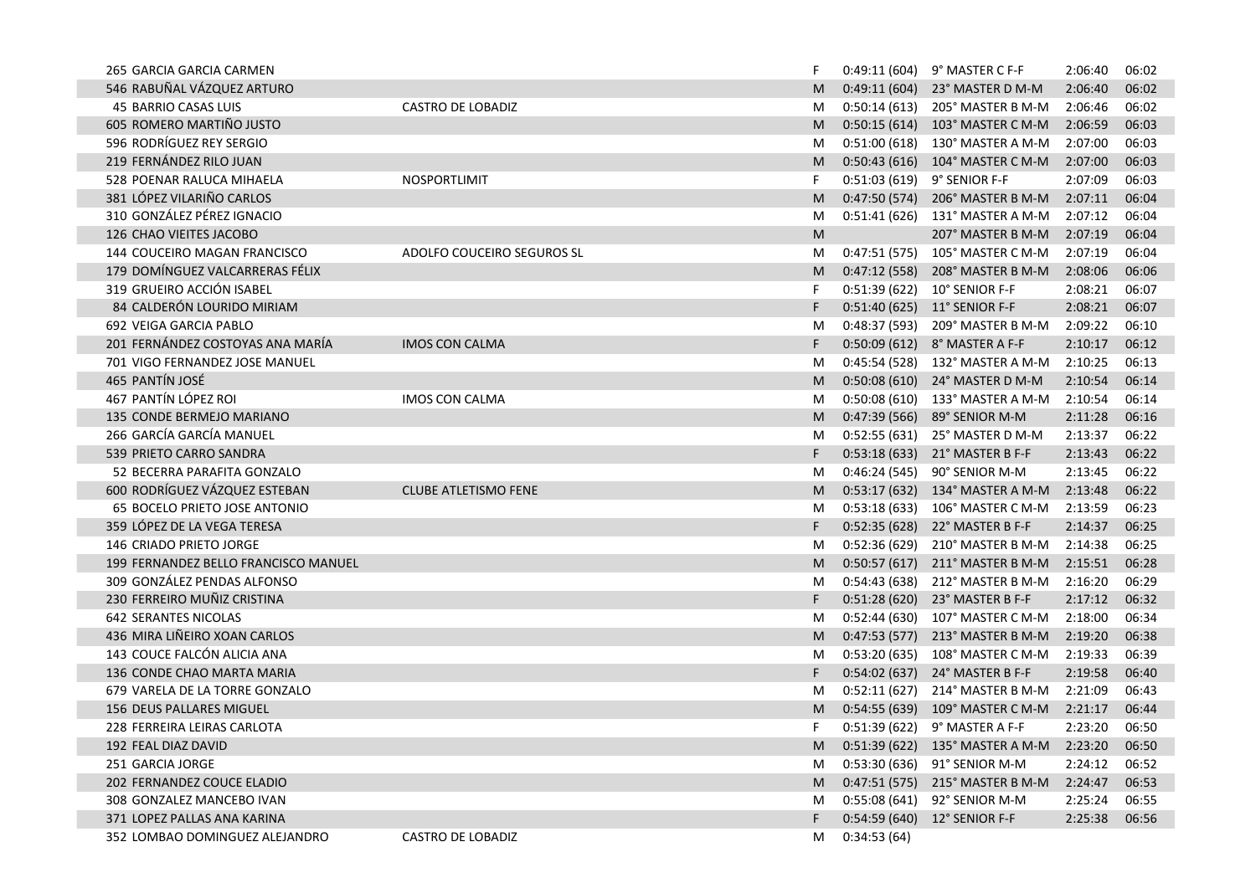| 265 GARCIA GARCIA CARMEN             |                             |    |             | 0:49:11 (604) 9° MASTER C F-F             | 2:06:40 | 06:02 |
|--------------------------------------|-----------------------------|----|-------------|-------------------------------------------|---------|-------|
| 546 RABUÑAL VÁZQUEZ ARTURO           |                             | M  |             | 0:49:11 (604) 23° MASTER D M-M            | 2:06:40 | 06:02 |
| 45 BARRIO CASAS LUIS                 | CASTRO DE LOBADIZ           | M  |             | 0:50:14 (613) 205° MASTER B M-M           | 2:06:46 | 06:02 |
| 605 ROMERO MARTIÑO JUSTO             |                             | M  |             | 0:50:15 (614) 103° MASTER C M-M           | 2:06:59 | 06:03 |
| 596 RODRÍGUEZ REY SERGIO             |                             | M  |             | 0:51:00 (618) 130° MASTER A M-M           | 2:07:00 | 06:03 |
| 219 FERNÁNDEZ RILO JUAN              |                             | M  |             | 0:50:43 (616) 104° MASTER C M-M           | 2:07:00 | 06:03 |
| 528 POENAR RALUCA MIHAELA            | NOSPORTLIMIT                | F. |             | 0:51:03 (619) 9° SENIOR F-F               | 2:07:09 | 06:03 |
| 381 LÓPEZ VILARIÑO CARLOS            |                             | M  |             | 0:47:50 (574) 206° MASTER B M-M           | 2:07:11 | 06:04 |
| 310 GONZÁLEZ PÉREZ IGNACIO           |                             | M  |             | 0:51:41 (626) 131° MASTER A M-M           | 2:07:12 | 06:04 |
| 126 CHAO VIEITES JACOBO              |                             | M  |             | 207° MASTER B M-M                         | 2:07:19 | 06:04 |
| 144 COUCEIRO MAGAN FRANCISCO         | ADOLFO COUCEIRO SEGUROS SL  | M  |             | 0:47:51 (575) 105° MASTER C M-M           | 2:07:19 | 06:04 |
| 179 DOMÍNGUEZ VALCARRERAS FÉLIX      |                             | M  |             | 0:47:12 (558) 208° MASTER B M-M           | 2:08:06 | 06:06 |
| 319 GRUEIRO ACCIÓN ISABEL            |                             | F  |             | 0:51:39 (622) 10° SENIOR F-F              | 2:08:21 | 06:07 |
| 84 CALDERÓN LOURIDO MIRIAM           |                             | F  |             | 0:51:40 (625) 11° SENIOR F-F              | 2:08:21 | 06:07 |
| 692 VEIGA GARCIA PABLO               |                             | M  |             | 0:48:37 (593) 209° MASTER B M-M           | 2:09:22 | 06:10 |
| 201 FERNÁNDEZ COSTOYAS ANA MARÍA     | <b>IMOS CON CALMA</b>       | F. |             | 0:50:09 (612) 8° MASTER A F-F             | 2:10:17 | 06:12 |
| 701 VIGO FERNANDEZ JOSE MANUEL       |                             | M  |             | 0:45:54 (528) 132° MASTER A M-M           | 2:10:25 | 06:13 |
| 465 PANTÍN JOSÉ                      |                             | M  |             | 0:50:08 (610) 24° MASTER D M-M            | 2:10:54 | 06:14 |
| 467 PANTÍN LÓPEZ ROI                 | <b>IMOS CON CALMA</b>       | M  |             | 0:50:08 (610) 133° MASTER A M-M           | 2:10:54 | 06:14 |
| 135 CONDE BERMEJO MARIANO            |                             | M  |             | 0:47:39 (566) 89° SENIOR M-M              | 2:11:28 | 06:16 |
| 266 GARCÍA GARCÍA MANUEL             |                             | M  |             | 0:52:55 (631) 25° MASTER D M-M            | 2:13:37 | 06:22 |
| 539 PRIETO CARRO SANDRA              |                             | F. |             | 0:53:18 (633) 21° MASTER B F-F            | 2:13:43 | 06:22 |
| 52 BECERRA PARAFITA GONZALO          |                             | M  |             | 0:46:24 (545) 90° SENIOR M-M              | 2:13:45 | 06:22 |
| 600 RODRÍGUEZ VÁZQUEZ ESTEBAN        | <b>CLUBE ATLETISMO FENE</b> | M  |             | 0:53:17 (632) 134° MASTER A M-M           | 2:13:48 | 06:22 |
| 65 BOCELO PRIETO JOSE ANTONIO        |                             | M  |             | 0:53:18 (633) 106° MASTER C M-M           | 2:13:59 | 06:23 |
| 359 LÓPEZ DE LA VEGA TERESA          |                             | F. |             | 0:52:35 (628) 22° MASTER B F-F            | 2:14:37 | 06:25 |
| 146 CRIADO PRIETO JORGE              |                             | M  |             | 0:52:36 (629) 210° MASTER B M-M           | 2:14:38 | 06:25 |
| 199 FERNANDEZ BELLO FRANCISCO MANUEL |                             | M  |             | 0:50:57 (617) 211° MASTER B M-M           | 2:15:51 | 06:28 |
| 309 GONZÁLEZ PENDAS ALFONSO          |                             | M  |             | 0:54:43 (638) 212° MASTER B M-M           | 2:16:20 | 06:29 |
| 230 FERREIRO MUÑIZ CRISTINA          |                             | F. |             | 0:51:28 (620) 23° MASTER B F-F            | 2:17:12 | 06:32 |
| <b>642 SERANTES NICOLAS</b>          |                             | M  |             | 0:52:44 (630) 107° MASTER C M-M           | 2:18:00 | 06:34 |
| 436 MIRA LIÑEIRO XOAN CARLOS         |                             | M  |             | 0:47:53 (577) 213° MASTER B M-M           | 2:19:20 | 06:38 |
| 143 COUCE FALCÓN ALICIA ANA          |                             | M  |             | 0:53:20 (635) 108° MASTER C M-M           | 2:19:33 | 06:39 |
| 136 CONDE CHAO MARTA MARIA           |                             | F. |             | 0:54:02 (637) 24° MASTER B F-F            | 2:19:58 | 06:40 |
| 679 VARELA DE LA TORRE GONZALO       |                             | M  |             | 0:52:11 (627) 214° MASTER B M-M           | 2:21:09 | 06:43 |
| 156 DEUS PALLARES MIGUEL             |                             | M  |             | 0:54:55 (639) 109° MASTER C M-M           | 2:21:17 | 06:44 |
| 228 FERREIRA LEIRAS CARLOTA          |                             | F. |             | 0:51:39 (622) 9° MASTER A F-F             | 2:23:20 | 06:50 |
| 192 FEAL DIAZ DAVID                  |                             |    |             | M 0:51:39 (622) 135° MASTER A M-M 2:23:20 |         | 06:50 |
| 251 GARCIA JORGE                     |                             | M  |             | 0:53:30 (636) 91° SENIOR M-M              | 2:24:12 | 06:52 |
| 202 FERNANDEZ COUCE ELADIO           |                             | M  |             | $0:47:51(575)$ 215° MASTER B M-M          | 2:24:47 | 06:53 |
| 308 GONZALEZ MANCEBO IVAN            |                             | M  |             | 0:55:08 (641) 92° SENIOR M-M              | 2:25:24 | 06:55 |
| 371 LOPEZ PALLAS ANA KARINA          |                             | F. |             | 0:54:59 (640) 12° SENIOR F-F              | 2:25:38 | 06:56 |
| 352 LOMBAO DOMINGUEZ ALEJANDRO       | <b>CASTRO DE LOBADIZ</b>    | М  | 0:34:53(64) |                                           |         |       |